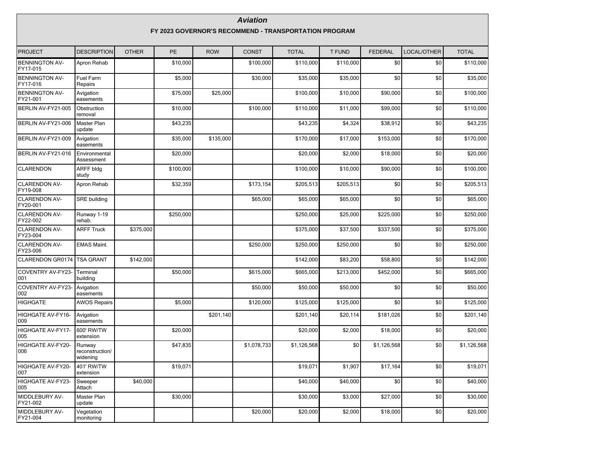|                                   |                                                       |              |           |            | <b>Aviation</b> |              |               |                |             |              |  |  |  |
|-----------------------------------|-------------------------------------------------------|--------------|-----------|------------|-----------------|--------------|---------------|----------------|-------------|--------------|--|--|--|
|                                   | FY 2023 GOVERNOR'S RECOMMEND - TRANSPORTATION PROGRAM |              |           |            |                 |              |               |                |             |              |  |  |  |
| <b>PROJECT</b>                    | <b>DESCRIPTION</b>                                    | <b>OTHER</b> | <b>PE</b> | <b>ROW</b> | <b>CONST</b>    | <b>TOTAL</b> | <b>T FUND</b> | <b>FEDERAL</b> | LOCAL/OTHER | <b>TOTAL</b> |  |  |  |
| <b>BENNINGTON AV-</b><br>FY17-015 | Apron Rehab                                           |              | \$10.000  |            | \$100,000       | \$110,000    | \$110,000     | \$0            | \$0         | \$110,000    |  |  |  |
| <b>BENNINGTON AV-</b><br>FY17-016 | <b>Fuel Farm</b><br>Repairs                           |              | \$5,000   |            | \$30,000        | \$35,000     | \$35,000      | \$0            | \$0         | \$35,000     |  |  |  |
| <b>BENNINGTON AV-</b><br>FY21-001 | Avigation<br>easements                                |              | \$75,000  | \$25,000   |                 | \$100,000    | \$10.000      | \$90,000       | \$0         | \$100,000    |  |  |  |
| BERLIN AV-FY21-005                | Obstruction<br>removal                                |              | \$10,000  |            | \$100,000       | \$110,000    | \$11.000      | \$99.000       | \$0         | \$110,000    |  |  |  |
| BERLIN AV-FY21-006                | Master Plan<br>update                                 |              | \$43,235  |            |                 | \$43,235     | \$4,324       | \$38,912       | \$0         | \$43,235     |  |  |  |
| BERLIN AV-FY21-009                | Avigation<br>easements                                |              | \$35,000  | \$135,000  |                 | \$170,000    | \$17,000      | \$153,000      | \$0         | \$170,000    |  |  |  |
| BERLIN AV-FY21-016                | Environmental<br>Assessment                           |              | \$20,000  |            |                 | \$20,000     | \$2,000       | \$18,000       | \$0         | \$20,000     |  |  |  |
| <b>CLARENDON</b>                  | <b>ARFF bldg</b><br>study                             |              | \$100,000 |            |                 | \$100,000    | \$10,000      | \$90,000       | \$0         | \$100,000    |  |  |  |
| <b>CLARENDON AV-</b><br>FY19-008  | Apron Rehab                                           |              | \$32.359  |            | \$173,154       | \$205,513    | \$205,513     | \$0            | \$0         | \$205,513    |  |  |  |
| <b>CLARENDON AV-</b><br>FY20-001  | <b>SRE building</b>                                   |              |           |            | \$65,000        | \$65,000     | \$65,000      | \$0            | \$0         | \$65,000     |  |  |  |
| <b>CLARENDON AV-</b><br>FY22-002  | Runway 1-19<br>rehab.                                 |              | \$250,000 |            |                 | \$250.000    | \$25,000      | \$225,000      | \$0         | \$250.000    |  |  |  |
| <b>CLARENDON AV-</b><br>FY23-004  | <b>ARFF Truck</b>                                     | \$375,000    |           |            |                 | \$375,000    | \$37,500      | \$337,500      | \$0         | \$375,000    |  |  |  |
| <b>CLARENDON AV-</b><br>FY23-006  | <b>EMAS Maint.</b>                                    |              |           |            | \$250,000       | \$250,000    | \$250,000     | \$0            | \$0         | \$250,000    |  |  |  |
| CLARENDON GR0174                  | <b>TSA GRANT</b>                                      | \$142,000    |           |            |                 | \$142,000    | \$83,200      | \$58,800       | \$0         | \$142,000    |  |  |  |
| COVENTRY AV-FY23-<br>001          | Terminal<br>building                                  |              | \$50,000  |            | \$615,000       | \$665,000    | \$213,000     | \$452,000      | \$0         | \$665,000    |  |  |  |
| COVENTRY AV-FY23-<br>002          | Avigation<br>easements                                |              |           |            | \$50,000        | \$50,000     | \$50,000      | \$0            | \$0         | \$50,000     |  |  |  |
| <b>HIGHGATE</b>                   | <b>AWOS Repairs</b>                                   |              | \$5,000   |            | \$120,000       | \$125,000    | \$125,000     | \$0            | \$0         | \$125,000    |  |  |  |
| HIGHGATE AV-FY16-<br>009          | Avigation<br>easements                                |              |           | \$201,140  |                 | \$201,140    | \$20,114      | \$181,026      | \$0         | \$201,140    |  |  |  |
| HIGHGATE AV-FY17-<br>005          | 600' RW/TW<br>extension                               |              | \$20,000  |            |                 | \$20,000     | \$2,000       | \$18,000       | \$0         | \$20,000     |  |  |  |
| HIGHGATE AV-FY20-<br>006          | Runway<br>reconstruction/<br>widening                 |              | \$47,835  |            | \$1,078,733     | \$1,126,568  | \$0           | \$1,126,568    | \$0         | \$1,126,568  |  |  |  |
| HIGHGATE AV-FY20-<br>007          | 401' RW/TW<br>extension                               |              | \$19,071  |            |                 | \$19,071     | \$1,907       | \$17,164       | \$0         | \$19,071     |  |  |  |
| HIGHGATE AV-FY23-<br>005          | Sweeper<br>Attach                                     | \$40,000     |           |            |                 | \$40,000     | \$40,000      | \$0            | $$0$$       | \$40,000     |  |  |  |
| MIDDLEBURY AV-<br>FY21-002        | Master Plan<br>update                                 |              | \$30,000  |            |                 | \$30,000     | \$3,000       | \$27,000       | \$0         | \$30,000     |  |  |  |
| MIDDLEBURY AV-<br>FY21-004        | Vegetation<br>monitoring                              |              |           |            | \$20,000        | \$20,000     | \$2,000       | \$18,000       | \$0         | \$20,000     |  |  |  |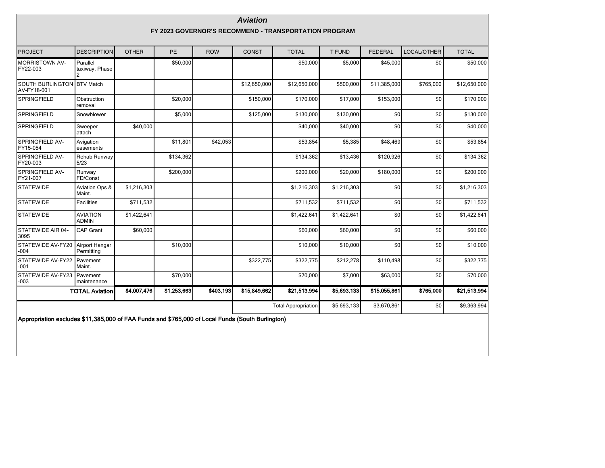| <b>Aviation</b><br>FY 2023 GOVERNOR'S RECOMMEND - TRANSPORTATION PROGRAM                         |                                 |              |             |            |              |                            |               |                |             |              |  |  |  |
|--------------------------------------------------------------------------------------------------|---------------------------------|--------------|-------------|------------|--------------|----------------------------|---------------|----------------|-------------|--------------|--|--|--|
| <b>PROJECT</b>                                                                                   | <b>DESCRIPTION</b>              | <b>OTHER</b> | PE          | <b>ROW</b> | <b>CONST</b> | <b>TOTAL</b>               | <b>T FUND</b> | <b>FEDERAL</b> | LOCAL/OTHER | <b>TOTAL</b> |  |  |  |
| <b>MORRISTOWN AV-</b><br>FY22-003                                                                | Parallel<br>taxiway, Phase      |              | \$50,000    |            |              | \$50,000                   | \$5,000       | \$45,000       | \$0         | \$50,000     |  |  |  |
| SOUTH BURLINGTON BTV Match<br>AV-FY18-001                                                        |                                 |              |             |            | \$12,650,000 | \$12,650,000               | \$500,000     | \$11,385,000   | \$765,000   | \$12,650,000 |  |  |  |
| SPRINGFIELD                                                                                      | Obstruction<br>removal          |              | \$20,000    |            | \$150,000    | \$170,000                  | \$17,000      | \$153,000      | \$0         | \$170,000    |  |  |  |
| SPRINGFIELD                                                                                      | Snowblower                      |              | \$5,000     |            | \$125,000    | \$130,000                  | \$130,000     | \$0            | \$0         | \$130,000    |  |  |  |
| SPRINGFIELD                                                                                      | Sweeper<br>attach               | \$40,000     |             |            |              | \$40,000                   | \$40,000      | \$0            | \$0         | \$40,000     |  |  |  |
| SPRINGFIELD AV-<br>FY15-054                                                                      | Avigation<br>easements          |              | \$11,801    | \$42,053   |              | \$53,854                   | \$5,385       | \$48,469       | \$0         | \$53,854     |  |  |  |
| SPRINGFIELD AV-<br>FY20-003                                                                      | Rehab Runway<br>5/23            |              | \$134,362   |            |              | \$134,362                  | \$13,436      | \$120,926      | \$0         | \$134,362    |  |  |  |
| SPRINGFIELD AV-<br>FY21-007                                                                      | Runway<br>FD/Const              |              | \$200,000   |            |              | \$200,000                  | \$20,000      | \$180,000      | \$0         | \$200,000    |  |  |  |
| <b>STATEWIDE</b>                                                                                 | Aviation Ops &<br>Maint.        | \$1,216,303  |             |            |              | \$1,216,303                | \$1,216,303   | \$0            | \$0         | \$1,216,303  |  |  |  |
| <b>STATEWIDE</b>                                                                                 | <b>Facilities</b>               | \$711,532    |             |            |              | \$711,532                  | \$711,532     | \$0            | \$0         | \$711,532    |  |  |  |
| <b>STATEWIDE</b>                                                                                 | <b>AVIATION</b><br><b>ADMIN</b> | \$1,422,641  |             |            |              | \$1,422,641                | \$1,422,641   | \$0            | \$0         | \$1,422,641  |  |  |  |
| STATEWIDE AIR 04-<br>3095                                                                        | CAP Grant                       | \$60,000     |             |            |              | \$60,000                   | \$60,000      | \$0            | \$0         | \$60,000     |  |  |  |
| STATEWIDE AV-FY20<br>$-004$                                                                      | Airport Hangar<br>Permitting    |              | \$10,000    |            |              | \$10,000                   | \$10,000      | \$0            | \$0         | \$10,000     |  |  |  |
| STATEWIDE AV-FY22<br>$-001$                                                                      | Pavement<br>Maint.              |              |             |            | \$322,775    | \$322,775                  | \$212,278     | \$110,498      | \$0         | \$322,775    |  |  |  |
| STATEWIDE AV-FY23<br>$-003$                                                                      | Pavement<br>maintenance         |              | \$70,000    |            |              | \$70,000                   | \$7,000       | \$63,000       | \$0         | \$70,000     |  |  |  |
|                                                                                                  | <b>TOTAL Aviation</b>           | \$4,007,476  | \$1,253,663 | \$403,193  | \$15,849,662 | \$21,513,994               | \$5,693,133   | \$15,055,861   | \$765,000   | \$21,513,994 |  |  |  |
|                                                                                                  |                                 |              |             |            |              | <b>Total Appropriation</b> | \$5,693,133   | \$3,670,861    | \$0         | \$9,363,994  |  |  |  |
| Appropriation excludes \$11,385,000 of FAA Funds and \$765,000 of Local Funds (South Burlington) |                                 |              |             |            |              |                            |               |                |             |              |  |  |  |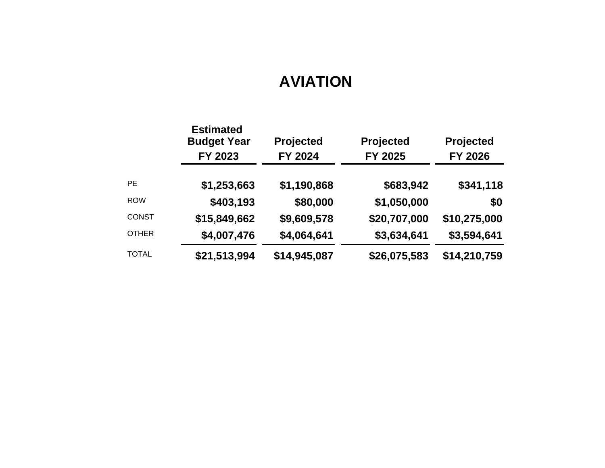# **AVIATION**

|              | <b>Estimated</b><br><b>Budget Year</b><br>FY 2023 | Projected<br>FY 2024 | Projected<br>FY 2025 | Projected<br><b>FY 2026</b> |
|--------------|---------------------------------------------------|----------------------|----------------------|-----------------------------|
| <b>PE</b>    | \$1,253,663                                       | \$1,190,868          | \$683,942            | \$341,118                   |
| <b>ROW</b>   | \$403,193                                         | \$80,000             | \$1,050,000          | \$0                         |
| <b>CONST</b> | \$15,849,662                                      | \$9,609,578          | \$20,707,000         | \$10,275,000                |
| <b>OTHER</b> | \$4,007,476                                       | \$4,064,641          | \$3,634,641          | \$3,594,641                 |
| <b>TOTAL</b> | \$21,513,994                                      | \$14,945,087         | \$26,075,583         | \$14,210,759                |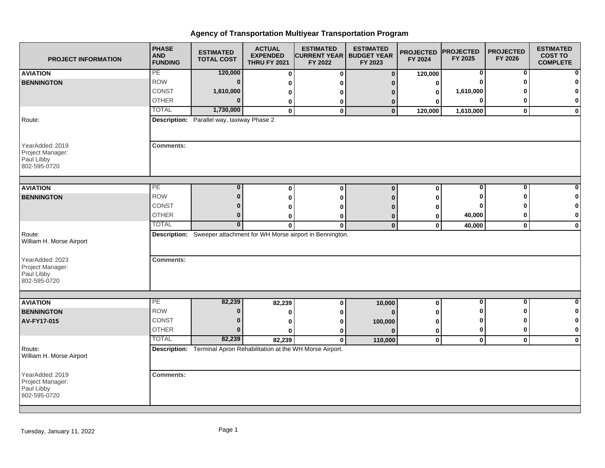| <b>PROJECT INFORMATION</b>                                        | <b>PHASE</b><br><b>AND</b><br><b>FUNDING</b> | <b>ESTIMATED</b><br><b>TOTAL COST</b>                               | <b>ACTUAL</b><br><b>EXPENDED</b><br><b>THRU FY 2021</b> | <b>ESTIMATED</b><br><b>ICURRENT YEAR I BUDGET YEAR</b><br>FY 2022   | <b>ESTIMATED</b><br>FY 2023 | <b>PROJECTED</b><br>FY 2024 | <b>PROJECTED</b><br>FY 2025 | <b>PROJECTED</b><br>FY 2026 | <b>ESTIMATED</b><br><b>COST TO</b><br><b>COMPLETE</b> |
|-------------------------------------------------------------------|----------------------------------------------|---------------------------------------------------------------------|---------------------------------------------------------|---------------------------------------------------------------------|-----------------------------|-----------------------------|-----------------------------|-----------------------------|-------------------------------------------------------|
| <b>AVIATION</b>                                                   | PE                                           | 120,000                                                             | 0                                                       | $\mathbf 0$                                                         | $\mathbf{0}$                | 120,000                     | 0                           | 0                           | $\mathbf{0}$                                          |
| <b>BENNINGTON</b>                                                 | <b>ROW</b>                                   | $\bf{0}$                                                            | $\bf{0}$                                                | O                                                                   | n                           | 0                           | 0                           |                             | $\mathbf 0$                                           |
|                                                                   | CONST                                        | 1,610,000                                                           | 0                                                       | ŋ                                                                   | n                           | $\mathbf 0$                 | 1,610,000                   |                             | $\mathbf{0}$                                          |
|                                                                   | <b>OTHER</b>                                 | $\Omega$                                                            | 0                                                       | 0                                                                   | $\bf{0}$                    | 0                           | $\bf{0}$                    |                             | $\mathbf{0}$                                          |
|                                                                   | <b>TOTAL</b>                                 | 1,730,000                                                           | $\overline{\mathbf{0}}$                                 | $\mathbf 0$                                                         | $\mathbf{0}$                | 120,000                     | 1,610,000                   | $\mathbf 0$                 | $\mathbf{0}$                                          |
| Route:                                                            |                                              | Description: Parallel way, taxiway Phase 2                          |                                                         |                                                                     |                             |                             |                             |                             |                                                       |
| YearAdded: 2019<br>Project Manager:<br>Paul Libby<br>802-595-0720 | <b>Comments:</b>                             |                                                                     |                                                         |                                                                     |                             |                             |                             |                             |                                                       |
| <b>AVIATION</b>                                                   | $\overline{PE}$                              | 0                                                                   | 0                                                       | $\mathbf 0$                                                         | $\bf{0}$                    | 0                           | 0                           | 0                           | $\mathbf{0}$                                          |
| <b>BENNINGTON</b>                                                 | <b>ROW</b>                                   | $\Omega$                                                            | $\mathbf{0}$                                            | $\mathbf{0}$                                                        | $\Omega$                    | 0                           | O                           |                             | $\mathbf{0}$                                          |
|                                                                   | CONST                                        |                                                                     | 0                                                       | 0                                                                   | n                           | 0                           | 0                           |                             | $\mathbf{0}$                                          |
|                                                                   | <b>OTHER</b>                                 | $\bf{0}$                                                            | 0                                                       | 0                                                                   | 0                           | 0                           | 40,000                      |                             | $\mathbf{0}$                                          |
|                                                                   | <b>TOTAL</b>                                 | $\bf{0}$                                                            | 0                                                       | $\bf{0}$                                                            | $\bf{0}$                    | $\mathbf 0$                 | 40,000                      | $\bf{0}$                    | $\mathbf{0}$                                          |
| Route:<br>William H. Morse Airport                                |                                              |                                                                     |                                                         | Description: Sweeper attachment for WH Morse airport in Bennington. |                             |                             |                             |                             |                                                       |
| YearAdded: 2023<br>Project Manager:<br>Paul Libby<br>802-595-0720 | <b>Comments:</b>                             |                                                                     |                                                         |                                                                     |                             |                             |                             |                             |                                                       |
| <b>AVIATION</b>                                                   | <b>PE</b>                                    | 82,239                                                              | 82,239                                                  | $\bf{0}$                                                            | 10,000                      | $\bf{0}$                    | 0                           | $\bf{0}$                    | $\overline{0}$                                        |
| <b>BENNINGTON</b>                                                 | <b>ROW</b>                                   | $\Omega$                                                            | 0                                                       | 0                                                                   | $\bf{0}$                    | 0                           | ŋ                           |                             | $\mathbf{0}$                                          |
| AV-FY17-015                                                       | CONST                                        | $\Omega$                                                            | 0                                                       | 0                                                                   | 100,000                     | 0                           | ŋ                           |                             | $\mathbf{0}$                                          |
|                                                                   | <b>OTHER</b>                                 | 0                                                                   | 0                                                       | 0                                                                   | n                           | 0                           | 0                           | 0                           | $\mathbf 0$                                           |
|                                                                   | <b>TOTAL</b>                                 | 82,239                                                              | 82,239                                                  | $\bf{0}$                                                            | 110,000                     | $\mathbf 0$                 | $\mathbf 0$                 | $\bf{0}$                    | $\mathbf{0}$                                          |
| Route:<br>William H. Morse Airport                                |                                              | Description: Terminal Apron Rehabilitation at the WH Morse Airport. |                                                         |                                                                     |                             |                             |                             |                             |                                                       |
| YearAdded: 2019<br>Project Manager:<br>Paul Libby<br>802-595-0720 | <b>Comments:</b>                             |                                                                     |                                                         |                                                                     |                             |                             |                             |                             |                                                       |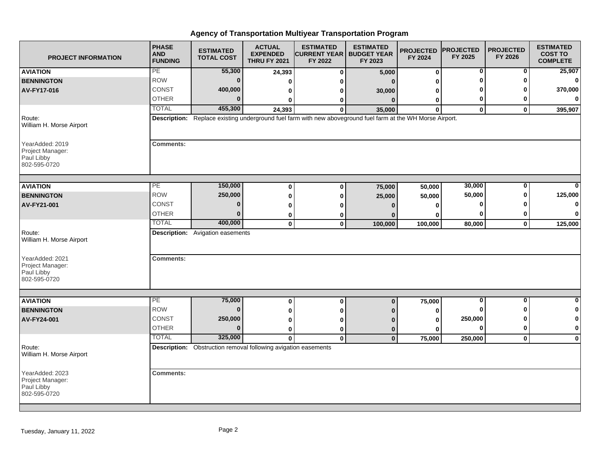| <b>PROJECT INFORMATION</b>                                        | <b>PHASE</b><br><b>AND</b><br><b>FUNDING</b> | <b>ESTIMATED</b><br><b>TOTAL COST</b>                                 | <b>ACTUAL</b><br><b>EXPENDED</b><br><b>THRU FY 2021</b> | <b>ESTIMATED</b><br><b>CURRENT YEAR</b><br>FY 2022 | <b>ESTIMATED</b><br><b>BUDGET YEAR</b><br>FY 2023                                                           | <b>PROJECTED</b><br>FY 2024 | <b>PROJECTED</b><br>FY 2025 | <b>PROJECTED</b><br>FY 2026 | <b>ESTIMATED</b><br><b>COST TO</b><br><b>COMPLETE</b> |
|-------------------------------------------------------------------|----------------------------------------------|-----------------------------------------------------------------------|---------------------------------------------------------|----------------------------------------------------|-------------------------------------------------------------------------------------------------------------|-----------------------------|-----------------------------|-----------------------------|-------------------------------------------------------|
| <b>AVIATION</b>                                                   | PE                                           | 55,300                                                                | 24,393                                                  | 0                                                  | 5,000                                                                                                       | $\bf{0}$                    | 0                           | 0                           | 25,907                                                |
| <b>BENNINGTON</b>                                                 | <b>ROW</b>                                   | $\bf{0}$                                                              | 0                                                       |                                                    |                                                                                                             | ŋ                           | ω                           |                             | 0                                                     |
| AV-FY17-016                                                       | CONST                                        | 400,000                                                               | 0                                                       |                                                    | 30,000                                                                                                      | 0                           |                             |                             | 370,000                                               |
|                                                                   | <b>OTHER</b>                                 | $\bf{0}$                                                              | ŋ                                                       | o                                                  | $\Omega$                                                                                                    | 0                           | 0                           |                             | $\mathbf{0}$                                          |
|                                                                   | <b>TOTAL</b>                                 | 455,300                                                               | 24,393                                                  | $\Omega$                                           | 35,000                                                                                                      | $\Omega$                    | $\mathbf 0$                 | $\Omega$                    | 395,907                                               |
| Route:<br>William H. Morse Airport                                |                                              |                                                                       |                                                         |                                                    | Description: Replace existing underground fuel farm with new aboveground fuel farm at the WH Morse Airport. |                             |                             |                             |                                                       |
| YearAdded: 2019<br>Project Manager:<br>Paul Libby<br>802-595-0720 | <b>Comments:</b>                             |                                                                       |                                                         |                                                    |                                                                                                             |                             |                             |                             |                                                       |
| <b>AVIATION</b>                                                   | PE                                           | 150,000                                                               | $\bf{0}$                                                | 0                                                  | 75,000                                                                                                      | 50,000                      | 30,000                      | 0                           | $\mathbf{0}$                                          |
| <b>BENNINGTON</b>                                                 | <b>ROW</b>                                   | 250,000                                                               | 0                                                       | ŋ                                                  | 25,000                                                                                                      | 50,000                      | 50,000                      |                             | 125,000                                               |
| AV-FY21-001                                                       | <b>CONST</b>                                 | 0                                                                     | 0                                                       |                                                    |                                                                                                             |                             | ŋ                           |                             | $\mathbf{0}$                                          |
|                                                                   | <b>OTHER</b>                                 | $\bf{0}$                                                              | 0                                                       |                                                    |                                                                                                             | n                           |                             |                             | $\mathbf{0}$                                          |
|                                                                   | <b>TOTAL</b>                                 | 400,000                                                               | $\mathbf 0$                                             | $\mathbf 0$                                        | 100,000                                                                                                     | 100,000                     | 80,000                      | $\mathbf 0$                 | 125,000                                               |
| Route:<br>William H. Morse Airport                                |                                              | <b>Description:</b> Avigation easements                               |                                                         |                                                    |                                                                                                             |                             |                             |                             |                                                       |
| YearAdded: 2021<br>Project Manager:<br>Paul Libby<br>802-595-0720 | <b>Comments:</b>                             |                                                                       |                                                         |                                                    |                                                                                                             |                             |                             |                             |                                                       |
|                                                                   |                                              |                                                                       |                                                         |                                                    |                                                                                                             |                             |                             |                             |                                                       |
| <b>AVIATION</b>                                                   | PE                                           | 75,000                                                                | $\bf{0}$                                                | $\bf{0}$                                           | $\Omega$                                                                                                    | 75,000                      | 0                           | $\bf{0}$                    | $\mathbf{0}$                                          |
| <b>BENNINGTON</b>                                                 | <b>ROW</b>                                   | $\bf{0}$                                                              | 0                                                       |                                                    |                                                                                                             | ŋ                           |                             |                             | $\mathbf{0}$                                          |
| AV-FY24-001                                                       | <b>CONST</b>                                 | 250,000                                                               | 0                                                       |                                                    |                                                                                                             | 0                           | 250,000                     |                             | $\mathbf{0}$                                          |
|                                                                   | <b>OTHER</b>                                 | $\Omega$                                                              | 0                                                       | 0                                                  | 0                                                                                                           | 0                           | O                           | ŋ                           | $\mathbf{0}$                                          |
|                                                                   | <b>TOTAL</b>                                 | 325,000                                                               | $\mathbf{0}$                                            | $\mathbf{0}$                                       | $\bf{0}$                                                                                                    | 75,000                      | 250,000                     | $\mathbf 0$                 | $\mathbf{0}$                                          |
| Route:<br>William H. Morse Airport                                |                                              | <b>Description:</b> Obstruction removal following avigation easements |                                                         |                                                    |                                                                                                             |                             |                             |                             |                                                       |
| YearAdded: 2023<br>Project Manager:<br>Paul Libby<br>802-595-0720 | <b>Comments:</b>                             |                                                                       |                                                         |                                                    |                                                                                                             |                             |                             |                             |                                                       |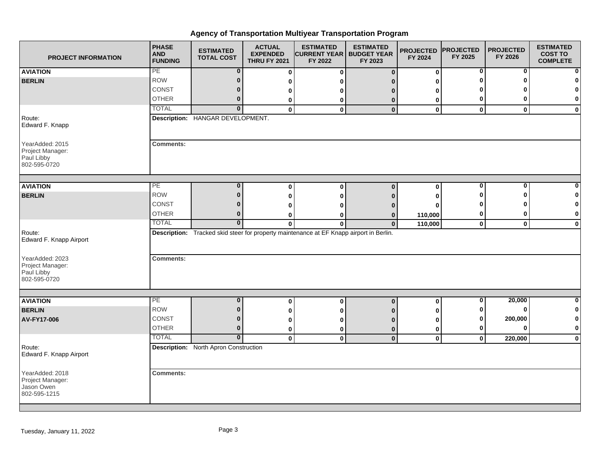| <b>PROJECT INFORMATION</b>                                        | <b>PHASE</b><br><b>AND</b><br><b>FUNDING</b> | <b>ESTIMATED</b><br><b>TOTAL COST</b>        | <b>ACTUAL</b><br><b>EXPENDED</b><br><b>THRU FY 2021</b> | <b>ESTIMATED</b><br><b>CURRENT YEAR</b><br>FY 2022                                      | <b>ESTIMATED</b><br><b>BUDGET YEAR</b><br>FY 2023 | <b>PROJECTED</b><br>FY 2024 | <b>PROJECTED</b><br>FY 2025 | <b>PROJECTED</b><br>FY 2026 | <b>ESTIMATED</b><br><b>COST TO</b><br><b>COMPLETE</b> |
|-------------------------------------------------------------------|----------------------------------------------|----------------------------------------------|---------------------------------------------------------|-----------------------------------------------------------------------------------------|---------------------------------------------------|-----------------------------|-----------------------------|-----------------------------|-------------------------------------------------------|
| <b>AVIATION</b>                                                   | PE                                           | $\bf{0}$                                     | $\bf{0}$                                                | $\mathbf 0$                                                                             | $\mathbf 0$                                       | $\mathbf 0$                 | 0                           | $\bf{0}$                    | $\mathbf{0}$                                          |
| <b>BERLIN</b>                                                     | <b>ROW</b>                                   | $\bf{0}$                                     | 0                                                       |                                                                                         |                                                   | O                           | ŋ                           |                             | $\mathbf{0}$                                          |
|                                                                   | CONST                                        | 0                                            | 0                                                       |                                                                                         | n                                                 | O                           |                             |                             | $\mathbf{0}$                                          |
|                                                                   | <b>OTHER</b>                                 | $\bf{0}$                                     | 0                                                       | 0                                                                                       | 0                                                 | 0                           | 0                           |                             | $\mathbf{0}$                                          |
|                                                                   | <b>TOTAL</b>                                 | $\bf{0}$                                     | $\mathbf{0}$                                            | $\mathbf{0}$                                                                            | $\mathbf{0}$                                      | $\mathbf 0$                 | $\mathbf{0}$                | $\mathbf{0}$                | $\mathbf{0}$                                          |
| Route:<br>Edward F. Knapp                                         |                                              | Description: HANGAR DEVELOPMENT.             |                                                         |                                                                                         |                                                   |                             |                             |                             |                                                       |
| YearAdded: 2015<br>Project Manager:<br>Paul Libby<br>802-595-0720 | <b>Comments:</b>                             |                                              |                                                         |                                                                                         |                                                   |                             |                             |                             |                                                       |
| <b>AVIATION</b>                                                   | PE                                           | 0                                            | 0                                                       | $\bf{0}$                                                                                | $\bf{0}$                                          | $\mathbf 0$                 | 0                           | O                           | $\mathbf{0}$                                          |
| <b>BERLIN</b>                                                     | <b>ROW</b>                                   | $\bf{0}$                                     | 0                                                       | ŋ                                                                                       | n                                                 | O                           | ŋ                           |                             | $\mathbf{0}$                                          |
|                                                                   | CONST                                        | 0                                            | 0                                                       |                                                                                         |                                                   |                             |                             |                             | $\mathbf{0}$                                          |
|                                                                   | <b>OTHER</b>                                 | $\bf{0}$                                     | 0                                                       |                                                                                         | 0                                                 | 110,000                     | 0                           |                             | $\mathbf{0}$                                          |
|                                                                   | <b>TOTAL</b>                                 | $\bf{0}$                                     | $\mathbf 0$                                             | 0                                                                                       | $\mathbf 0$                                       | 110,000                     | $\bf{0}$                    | $\mathbf 0$                 | $\mathbf{0}$                                          |
| Route:<br>Edward F. Knapp Airport                                 |                                              |                                              |                                                         | Description: Tracked skid steer for property maintenance at EF Knapp airport in Berlin. |                                                   |                             |                             |                             |                                                       |
| YearAdded: 2023<br>Project Manager:<br>Paul Libby<br>802-595-0720 | <b>Comments:</b>                             |                                              |                                                         |                                                                                         |                                                   |                             |                             |                             |                                                       |
| <b>AVIATION</b>                                                   | PE                                           | $\bf{0}$                                     | 0                                                       | $\mathbf 0$                                                                             | $\mathbf 0$                                       | $\bf{0}$                    | 0                           | 20,000                      | $\mathbf{0}$                                          |
| <b>BERLIN</b>                                                     | <b>ROW</b>                                   | $\bf{0}$                                     | 0                                                       | o                                                                                       |                                                   | O                           | 0                           | O                           | $\mathbf{0}$                                          |
| AV-FY17-006                                                       | CONST                                        | $\bf{0}$                                     | 0                                                       |                                                                                         | n                                                 | 0                           | 0                           | 200,000                     | $\mathbf{0}$                                          |
|                                                                   | <b>OTHER</b>                                 | $\bf{0}$                                     | 0                                                       | 0                                                                                       | $\bf{0}$                                          | 0                           | 0                           |                             | $\mathbf{0}$                                          |
|                                                                   | <b>TOTAL</b>                                 | $\mathbf{0}$                                 | $\mathbf 0$                                             | $\mathbf 0$                                                                             | $\mathbf{0}$                                      | $\mathbf 0$                 | $\mathbf 0$                 | 220,000                     | $\mathbf{0}$                                          |
| Route:<br>Edward F. Knapp Airport                                 |                                              | <b>Description:</b> North Apron Construction |                                                         |                                                                                         |                                                   |                             |                             |                             |                                                       |
| YearAdded: 2018<br>Project Manager:<br>Jason Owen<br>802-595-1215 | <b>Comments:</b>                             |                                              |                                                         |                                                                                         |                                                   |                             |                             |                             |                                                       |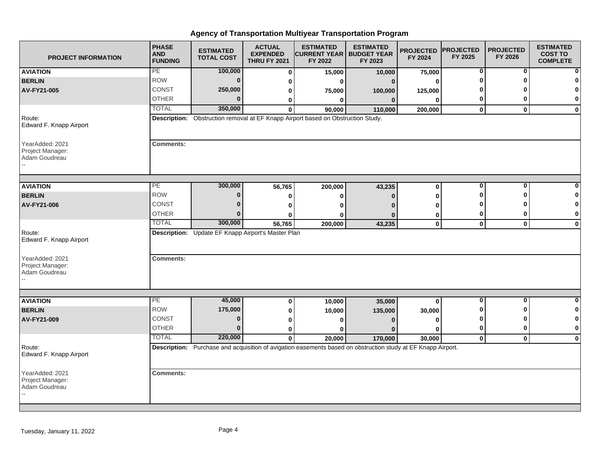| <b>PROJECT INFORMATION</b>                           | <b>PHASE</b><br><b>AND</b><br><b>FUNDING</b> | <b>ESTIMATED</b><br><b>TOTAL COST</b>              | <b>ACTUAL</b><br><b>EXPENDED</b><br><b>THRU FY 2021</b> | <b>ESTIMATED</b><br><b>CURRENT YEAR I BUDGET YEAR</b><br>FY 2022                                             | <b>ESTIMATED</b><br>FY 2023 | <b>PROJECTED</b><br>FY 2024 | <b>PROJECTED</b><br>FY 2025 | <b>PROJECTED</b><br>FY 2026 | <b>ESTIMATED</b><br><b>COST TO</b><br><b>COMPLETE</b> |
|------------------------------------------------------|----------------------------------------------|----------------------------------------------------|---------------------------------------------------------|--------------------------------------------------------------------------------------------------------------|-----------------------------|-----------------------------|-----------------------------|-----------------------------|-------------------------------------------------------|
| <b>AVIATION</b>                                      | PE                                           | 100,000                                            | $\mathbf 0$                                             | 15,000                                                                                                       | 10,000                      | 75,000                      | $\mathbf 0$                 | $\mathbf{0}$                |                                                       |
| <b>BERLIN</b>                                        | <b>ROW</b>                                   | $\bf{0}$                                           | 0                                                       | O                                                                                                            | $\Omega$                    | 0                           | $\bf{0}$                    | O                           |                                                       |
| AV-FY21-005                                          | CONST                                        | 250,000                                            | 0                                                       | 75,000                                                                                                       | 100,000                     | 125,000                     |                             |                             |                                                       |
|                                                      | <b>OTHER</b>                                 | $\bf{0}$                                           | 0                                                       | 0                                                                                                            | $\mathbf{0}$                | 0                           | 0                           | 0                           | $\bf{0}$                                              |
|                                                      | <b>TOTAL</b>                                 | 350,000                                            | $\mathbf{0}$                                            | 90,000                                                                                                       | 110,000                     | 200,000                     | $\mathbf 0$                 | $\mathbf{0}$                | $\mathbf 0$                                           |
| Route:<br>Edward F. Knapp Airport                    |                                              |                                                    |                                                         | Description: Obstruction removal at EF Knapp Airport based on Obstruction Study.                             |                             |                             |                             |                             |                                                       |
| YearAdded: 2021<br>Project Manager:<br>Adam Goudreau | <b>Comments:</b>                             |                                                    |                                                         |                                                                                                              |                             |                             |                             |                             |                                                       |
|                                                      | PE                                           | 300,000                                            |                                                         |                                                                                                              |                             |                             | $\mathbf 0$                 | $\mathbf{0}$                |                                                       |
| <b>AVIATION</b>                                      | <b>ROW</b>                                   | $\bf{0}$                                           | 56,765                                                  | 200,000                                                                                                      | 43,235                      | 0                           | ŋ                           | ŋ                           |                                                       |
| <b>BERLIN</b>                                        | <b>CONST</b>                                 | $\bf{0}$                                           | 0                                                       | 0                                                                                                            | n                           | 0                           |                             |                             | 0                                                     |
| AV-FY21-006                                          | <b>OTHER</b>                                 | $\Omega$                                           | 0                                                       | O                                                                                                            |                             | O                           | 0                           | 0                           | 0                                                     |
|                                                      | <b>TOTAL</b>                                 | 300,000                                            | U<br>56,765                                             | O<br>200,000                                                                                                 | 43,235                      | 0<br>0                      | $\mathbf{0}$                | $\mathbf{0}$                | $\bf{0}$                                              |
| Route:<br>Edward F. Knapp Airport                    |                                              | Description: Update EF Knapp Airport's Master Plan |                                                         |                                                                                                              |                             |                             |                             |                             |                                                       |
| YearAdded: 2021<br>Project Manager:<br>Adam Goudreau | <b>Comments:</b>                             |                                                    |                                                         |                                                                                                              |                             |                             |                             |                             |                                                       |
| <b>AVIATION</b>                                      | $\overline{\mathsf{PE}}$                     | 45,000                                             | 0                                                       |                                                                                                              |                             | $\bf{0}$                    | $\mathbf 0$                 | $\mathbf{0}$                | $\Omega$                                              |
| <b>BERLIN</b>                                        | <b>ROW</b>                                   | 175,000                                            | 0                                                       | 10,000<br>10,000                                                                                             | 35,000<br>135,000           | 30,000                      |                             | ŋ                           | 0                                                     |
| AV-FY21-009                                          | <b>CONST</b>                                 | $\bf{0}$                                           | 0                                                       | ŋ                                                                                                            |                             | 0                           | o                           | ŋ                           | 0                                                     |
|                                                      | <b>OTHER</b>                                 | $\bf{0}$                                           | $\bf{0}$                                                | ŋ                                                                                                            |                             | O                           | 0                           | 0                           | $\bf{0}$                                              |
|                                                      | <b>TOTAL</b>                                 | 220,000                                            | $\mathbf{0}$                                            | 20,000                                                                                                       | 170,000                     | 30,000                      | $\mathbf 0$                 | $\mathbf{0}$                | $\mathbf{0}$                                          |
| Route:<br>Edward F. Knapp Airport                    |                                              |                                                    |                                                         | Description: Purchase and acquisition of avigation easements based on obstruction study at EF Knapp Airport. |                             |                             |                             |                             |                                                       |
| YearAdded: 2021<br>Project Manager:<br>Adam Goudreau | <b>Comments:</b>                             |                                                    |                                                         |                                                                                                              |                             |                             |                             |                             |                                                       |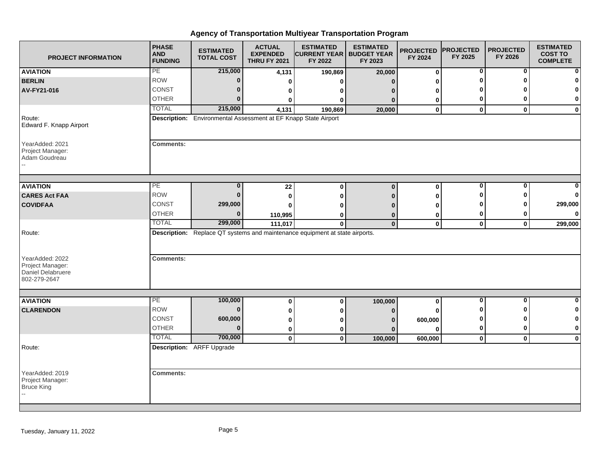| <b>PROJECT INFORMATION</b>                                               | <b>PHASE</b><br><b>AND</b><br><b>FUNDING</b> | <b>ESTIMATED</b><br><b>TOTAL COST</b>                           | <b>ACTUAL</b><br><b>EXPENDED</b><br><b>THRU FY 2021</b> | <b>ESTIMATED</b><br><b>CURRENT YEAR   BUDGET YEAR</b><br>FY 2022                             | <b>ESTIMATED</b><br>FY 2023 | <b>PROJECTED</b><br>FY 2024 | <b>PROJECTED</b><br>FY 2025 | <b>PROJECTED</b><br>FY 2026 | <b>ESTIMATED</b><br><b>COST TO</b><br><b>COMPLETE</b> |
|--------------------------------------------------------------------------|----------------------------------------------|-----------------------------------------------------------------|---------------------------------------------------------|----------------------------------------------------------------------------------------------|-----------------------------|-----------------------------|-----------------------------|-----------------------------|-------------------------------------------------------|
| <b>AVIATION</b>                                                          | PE                                           | 215,000                                                         | 4,131                                                   | 190,869                                                                                      | 20,000                      | $\bf{0}$                    | 0                           | 0                           | n                                                     |
| <b>BERLIN</b>                                                            | <b>ROW</b>                                   | $\mathbf 0$                                                     | 0                                                       |                                                                                              |                             | 0                           | U                           | O                           |                                                       |
| AV-FY21-016                                                              | CONST                                        | $\Omega$                                                        | 0                                                       | o                                                                                            |                             | 0                           | n                           |                             | n                                                     |
|                                                                          | <b>OTHER</b>                                 | $\Omega$                                                        | ŋ                                                       | O                                                                                            | n                           | 0                           | 0                           | 0                           | 0                                                     |
|                                                                          | <b>TOTAL</b>                                 | 215,000                                                         | 4,131                                                   | 190,869                                                                                      | 20,000                      | $\bf{0}$                    | $\mathbf 0$                 | $\mathbf{0}$                | $\mathbf 0$                                           |
| Route:<br>Edward F. Knapp Airport                                        |                                              | Description: Environmental Assessment at EF Knapp State Airport |                                                         |                                                                                              |                             |                             |                             |                             |                                                       |
| YearAdded: 2021<br>Project Manager:<br>Adam Goudreau                     | <b>Comments:</b>                             |                                                                 |                                                         |                                                                                              |                             |                             |                             |                             |                                                       |
| <b>AVIATION</b>                                                          | PE                                           | $\bf{0}$                                                        |                                                         |                                                                                              | $\Omega$                    |                             | 0                           | $\mathbf{0}$                |                                                       |
| <b>CARES Act FAA</b>                                                     | <b>ROW</b>                                   | $\bf{0}$                                                        | 22                                                      | $\bf{0}$                                                                                     |                             | $\pmb{0}$                   | U                           | ŋ                           | O                                                     |
| <b>COVIDFAA</b>                                                          | CONST                                        | 299,000                                                         | 0                                                       |                                                                                              |                             | 0                           |                             | n                           | 299,000                                               |
|                                                                          | <b>OTHER</b>                                 | $\bf{0}$                                                        | 0                                                       |                                                                                              |                             | O                           | 0                           | 0                           | 0                                                     |
|                                                                          | <b>TOTAL</b>                                 | 299,000                                                         | 110,995                                                 |                                                                                              | 0                           | 0                           |                             |                             |                                                       |
| Route:                                                                   |                                              |                                                                 | 111,017                                                 | $\mathbf{0}$<br>Description: Replace QT systems and maintenance equipment at state airports. | $\mathbf{0}$                | $\mathbf 0$                 | $\mathbf 0$                 | $\mathbf 0$                 | 299,000                                               |
| YearAdded: 2022<br>Project Manager:<br>Daniel Delabruere<br>802-279-2647 | <b>Comments:</b>                             |                                                                 |                                                         |                                                                                              |                             |                             |                             |                             |                                                       |
|                                                                          |                                              |                                                                 |                                                         |                                                                                              |                             |                             |                             |                             |                                                       |
| <b>AVIATION</b>                                                          | PE                                           | 100,000                                                         | 0                                                       | $\bf{0}$                                                                                     | 100,000                     | $\pmb{0}$                   | $\bf{0}$                    | 0<br>ŋ                      | $\bf{0}$                                              |
| <b>CLARENDON</b>                                                         | <b>ROW</b>                                   | $\bf{0}$                                                        | 0                                                       |                                                                                              |                             | O                           | O                           |                             | 0                                                     |
|                                                                          | CONST                                        | 600,000                                                         | 0                                                       |                                                                                              |                             | 600,000                     | ŋ                           | ŋ                           | 0                                                     |
|                                                                          | <b>OTHER</b>                                 | $\mathbf{0}$                                                    | 0                                                       | 0                                                                                            | n                           | $\bf{0}$                    | 0                           | 0                           | 0                                                     |
|                                                                          | <b>TOTAL</b>                                 | 700,000                                                         | $\mathbf 0$                                             | $\mathbf{0}$                                                                                 | 100,000                     | 600,000                     | $\mathbf{0}$                | $\mathbf 0$                 | $\mathbf 0$                                           |
| Route:                                                                   |                                              | <b>Description: ARFF Upgrade</b>                                |                                                         |                                                                                              |                             |                             |                             |                             |                                                       |
| YearAdded: 2019<br>Project Manager:                                      | <b>Comments:</b>                             |                                                                 |                                                         |                                                                                              |                             |                             |                             |                             |                                                       |
| <b>Bruce King</b>                                                        |                                              |                                                                 |                                                         |                                                                                              |                             |                             |                             |                             |                                                       |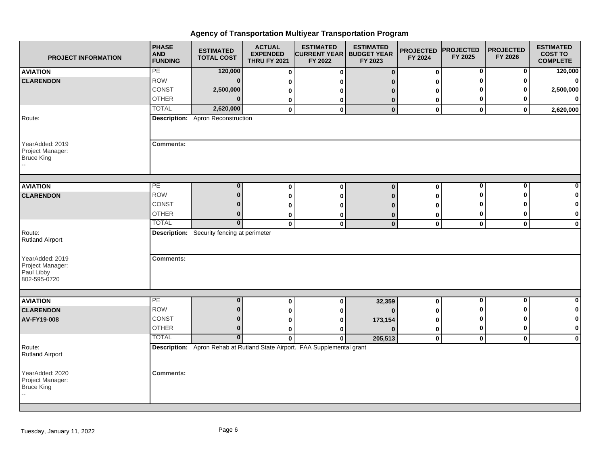| <b>PROJECT INFORMATION</b>                                        | <b>PHASE</b><br><b>AND</b><br><b>FUNDING</b> | <b>ESTIMATED</b><br><b>TOTAL COST</b>             | <b>ACTUAL</b><br><b>EXPENDED</b><br><b>THRU FY 2021</b> | <b>ESTIMATED</b><br><b>CURRENT YEAR</b><br>FY 2022                        | <b>ESTIMATED</b><br><b>BUDGET YEAR</b><br>FY 2023 | <b>PROJECTED</b><br>FY 2024 | <b>PROJECTED</b><br>FY 2025 | <b>PROJECTED</b><br>FY 2026 | <b>ESTIMATED</b><br><b>COST TO</b><br><b>COMPLETE</b> |
|-------------------------------------------------------------------|----------------------------------------------|---------------------------------------------------|---------------------------------------------------------|---------------------------------------------------------------------------|---------------------------------------------------|-----------------------------|-----------------------------|-----------------------------|-------------------------------------------------------|
| <b>AVIATION</b>                                                   | PE                                           | 120,000                                           | $\bf{0}$                                                | $\bf{0}$                                                                  | $\mathbf{0}$                                      | $\mathbf 0$                 | 0                           | 0                           | 120,000                                               |
| <b>CLARENDON</b>                                                  | <b>ROW</b>                                   | $\bf{0}$                                          | 0                                                       |                                                                           |                                                   | ∩                           |                             |                             | $\mathbf{0}$                                          |
|                                                                   | CONST                                        | 2,500,000                                         | 0                                                       |                                                                           |                                                   | n                           |                             |                             | 2,500,000                                             |
|                                                                   | <b>OTHER</b>                                 |                                                   | 0                                                       | 0                                                                         | $\bf{0}$                                          | 0                           | 0                           |                             | $\mathbf{0}$                                          |
|                                                                   | <b>TOTAL</b>                                 | 2,620,000                                         | 0                                                       | $\mathbf 0$                                                               | $\mathbf{0}$                                      | $\mathbf 0$                 | $\mathbf 0$                 | 0                           | 2,620,000                                             |
| Route:                                                            |                                              | <b>Description:</b> Apron Reconstruction          |                                                         |                                                                           |                                                   |                             |                             |                             |                                                       |
| YearAdded: 2019<br>Project Manager:<br><b>Bruce King</b>          | <b>Comments:</b>                             |                                                   |                                                         |                                                                           |                                                   |                             |                             |                             |                                                       |
| <b>AVIATION</b>                                                   | PE                                           | $\bf{0}$                                          |                                                         |                                                                           |                                                   |                             | $\bf{0}$                    | 0                           | $\mathbf{0}$                                          |
|                                                                   | <b>ROW</b>                                   | $\bf{0}$                                          | 0                                                       | $\bf{0}$                                                                  | $\Omega$                                          | 0                           | ŋ                           |                             | $\mathbf{0}$                                          |
| <b>CLARENDON</b>                                                  | CONST                                        | 0                                                 | 0                                                       | 0                                                                         | n                                                 | O                           |                             |                             | $\mathbf{0}$                                          |
|                                                                   | <b>OTHER</b>                                 | $\bf{0}$                                          | 0                                                       |                                                                           |                                                   |                             | 0                           |                             | $\mathbf{0}$                                          |
|                                                                   | <b>TOTAL</b>                                 | $\mathbf 0$                                       | 0<br>$\mathbf 0$                                        | 0<br>$\bf{0}$                                                             | 0<br>$\mathbf{0}$                                 | 0<br>$\mathbf 0$            | $\mathbf 0$                 |                             |                                                       |
| Route:<br><b>Rutland Airport</b>                                  |                                              | <b>Description:</b> Security fencing at perimeter |                                                         |                                                                           |                                                   |                             |                             | $\mathbf 0$                 | $\mathbf{0}$                                          |
| YearAdded: 2019<br>Project Manager:<br>Paul Libby<br>802-595-0720 | <b>Comments:</b>                             |                                                   |                                                         |                                                                           |                                                   |                             |                             |                             |                                                       |
|                                                                   | PE                                           | $\bf{0}$                                          |                                                         |                                                                           |                                                   |                             | 0                           | 0                           | $\mathbf{0}$                                          |
| <b>AVIATION</b><br><b>CLARENDON</b>                               | <b>ROW</b>                                   | $\bf{0}$                                          | 0                                                       | $\bf{0}$                                                                  | 32,359<br>$\Omega$                                | $\bf{0}$                    |                             |                             | $\mathbf{0}$                                          |
| AV-FY19-008                                                       | <b>CONST</b>                                 | $\bf{0}$                                          | 0                                                       | 0                                                                         |                                                   | n                           |                             |                             | 0                                                     |
|                                                                   | <b>OTHER</b>                                 | $\bf{0}$                                          | 0<br>0                                                  | o<br>0                                                                    | 173,154                                           | O                           | 0                           | 0                           | $\mathbf{0}$                                          |
|                                                                   | <b>TOTAL</b>                                 | $\overline{\mathbf{0}}$                           | $\bf{0}$                                                | $\bf{0}$                                                                  | 205,513                                           | 0<br>$\mathbf 0$            | $\mathbf 0$                 | $\mathbf 0$                 | $\mathbf{0}$                                          |
| Route:<br><b>Rutland Airport</b>                                  |                                              |                                                   |                                                         | Description: Apron Rehab at Rutland State Airport. FAA Supplemental grant |                                                   |                             |                             |                             |                                                       |
| YearAdded: 2020<br>Project Manager:<br>Bruce King                 | <b>Comments:</b>                             |                                                   |                                                         |                                                                           |                                                   |                             |                             |                             |                                                       |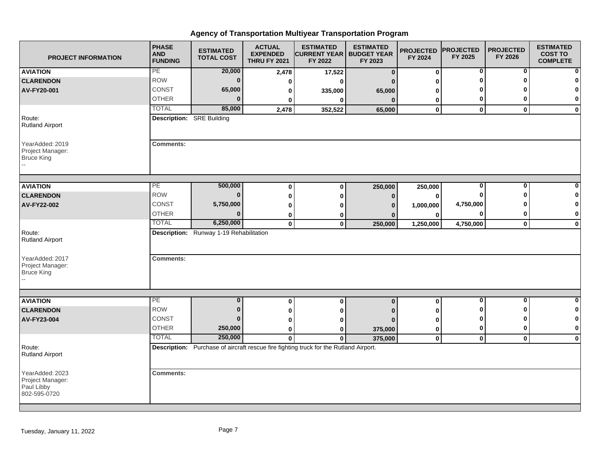| <b>PROJECT INFORMATION</b>                                        | <b>PHASE</b><br><b>AND</b><br><b>FUNDING</b> | <b>ESTIMATED</b><br><b>TOTAL COST</b>   | <b>ACTUAL</b><br><b>EXPENDED</b><br><b>THRU FY 2021</b> | <b>ESTIMATED</b><br><b>CURRENT YEAR   BUDGET YEAR</b><br>FY 2022                      | <b>ESTIMATED</b><br>FY 2023 | <b>PROJECTED</b><br>FY 2024 | <b>PROJECTED</b><br>FY 2025 | <b>PROJECTED</b><br>FY 2026 | <b>ESTIMATED</b><br><b>COST TO</b><br><b>COMPLETE</b> |
|-------------------------------------------------------------------|----------------------------------------------|-----------------------------------------|---------------------------------------------------------|---------------------------------------------------------------------------------------|-----------------------------|-----------------------------|-----------------------------|-----------------------------|-------------------------------------------------------|
| <b>AVIATION</b>                                                   | PE                                           | 20,000                                  | 2,478                                                   | 17,522                                                                                | $\bf{0}$                    | 0                           | $\mathbf 0$                 | $\mathbf{0}$                |                                                       |
| <b>CLARENDON</b>                                                  | <b>ROW</b>                                   | $\bf{0}$                                | 0                                                       | 0                                                                                     | n                           | 0                           | ŋ                           | $\Omega$                    |                                                       |
| AV-FY20-001                                                       | CONST                                        | 65,000                                  | 0                                                       | 335,000                                                                               | 65,000                      | 0                           |                             |                             | 0                                                     |
|                                                                   | <b>OTHER</b>                                 | $\bf{0}$                                | 0                                                       | 0                                                                                     | $\mathbf{0}$                | 0                           | 0                           | 0                           | 0                                                     |
|                                                                   | <b>TOTAL</b>                                 | 85,000                                  | 2,478                                                   | 352,522                                                                               | 65,000                      | $\mathbf{0}$                | $\mathbf{0}$                | $\mathbf{0}$                | $\bf{0}$                                              |
| Route:<br><b>Rutland Airport</b>                                  | <b>Description:</b> SRE Building             |                                         |                                                         |                                                                                       |                             |                             |                             |                             |                                                       |
| YearAdded: 2019<br>Project Manager:<br><b>Bruce King</b>          | <b>Comments:</b>                             |                                         |                                                         |                                                                                       |                             |                             |                             |                             |                                                       |
|                                                                   |                                              |                                         |                                                         |                                                                                       |                             |                             |                             |                             |                                                       |
| <b>AVIATION</b>                                                   | PE                                           | 500,000                                 | $\bf{0}$                                                | $\bf{0}$                                                                              | 250,000                     | 250,000                     | 0                           | 0                           |                                                       |
| <b>CLARENDON</b>                                                  | <b>ROW</b>                                   | $\bf{0}$                                | $\bf{0}$                                                | 0                                                                                     | $\bf{0}$                    | 0                           | 0                           | ŋ                           | 0                                                     |
| AV-FY22-002                                                       | CONST                                        | 5,750,000                               | 0                                                       | O                                                                                     | $\mathbf{0}$                | 1,000,000                   | 4,750,000                   |                             | 0                                                     |
|                                                                   | <b>OTHER</b>                                 | $\bf{0}$                                | $\bf{0}$                                                | 0                                                                                     |                             | 0                           | 0                           | 0                           | 0                                                     |
|                                                                   | <b>TOTAL</b>                                 | 6,250,000                               | $\pmb{0}$                                               | $\mathbf 0$                                                                           | 250,000                     | 1,250,000                   | 4,750,000                   | $\mathbf 0$                 | $\mathbf 0$                                           |
| Route:<br><b>Rutland Airport</b>                                  |                                              | Description: Runway 1-19 Rehabilitation |                                                         |                                                                                       |                             |                             |                             |                             |                                                       |
| YearAdded: 2017<br>Project Manager:<br>Bruce King                 | <b>Comments:</b>                             |                                         |                                                         |                                                                                       |                             |                             |                             |                             |                                                       |
|                                                                   |                                              |                                         |                                                         |                                                                                       |                             |                             |                             |                             |                                                       |
| <b>AVIATION</b>                                                   | PE                                           | $\bf{0}$                                | $\bf{0}$                                                | $\mathbf 0$                                                                           | $\bf{0}$                    | 0                           | $\bf{0}$                    | $\mathbf 0$                 | $\bf{0}$                                              |
| <b>CLARENDON</b>                                                  | <b>ROW</b>                                   | $\mathbf{0}$                            | $\bf{0}$                                                | 0                                                                                     |                             | O                           | ŋ                           | ŋ                           | 0                                                     |
| AV-FY23-004                                                       | <b>CONST</b>                                 | $\bf{0}$                                | 0                                                       | 0                                                                                     |                             | 0                           | O                           | ŋ                           | $\mathbf 0$                                           |
|                                                                   | <b>OTHER</b>                                 | 250,000                                 | 0                                                       | 0                                                                                     | 375,000                     | 0                           | 0                           | $\bf{0}$                    | $\bf{0}$                                              |
|                                                                   | <b>TOTAL</b>                                 | 250,000                                 | $\mathbf{0}$                                            | 0                                                                                     | 375,000                     | 0                           | $\mathbf 0$                 | $\mathbf 0$                 | $\mathbf 0$                                           |
| Route:<br><b>Rutland Airport</b>                                  |                                              |                                         |                                                         | Description: Purchase of aircraft rescue fire fighting truck for the Rutland Airport. |                             |                             |                             |                             |                                                       |
| YearAdded: 2023<br>Project Manager:<br>Paul Libby<br>802-595-0720 | <b>Comments:</b>                             |                                         |                                                         |                                                                                       |                             |                             |                             |                             |                                                       |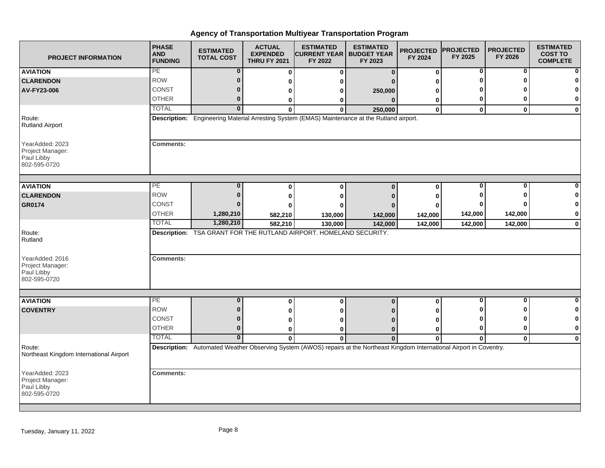| <b>PROJECT INFORMATION</b>                                        | <b>PHASE</b><br><b>AND</b><br><b>FUNDING</b> | <b>ESTIMATED</b><br><b>TOTAL COST</b> | <b>ACTUAL</b><br><b>EXPENDED</b><br><b>THRU FY 2021</b> | <b>ESTIMATED</b><br><b>CURRENT YEAR</b><br>FY 2022                 | <b>ESTIMATED</b><br><b>BUDGET YEAR</b><br>FY 2023                                                                          | <b>PROJECTED</b><br>FY 2024 | <b>PROJECTED</b><br>FY 2025 | <b>PROJECTED</b><br>FY 2026 | <b>ESTIMATED</b><br><b>COST TO</b><br><b>COMPLETE</b> |
|-------------------------------------------------------------------|----------------------------------------------|---------------------------------------|---------------------------------------------------------|--------------------------------------------------------------------|----------------------------------------------------------------------------------------------------------------------------|-----------------------------|-----------------------------|-----------------------------|-------------------------------------------------------|
| <b>AVIATION</b>                                                   | PE                                           | $\bf{0}$                              | $\bf{0}$                                                | 0                                                                  | $\mathbf{0}$                                                                                                               | $\bf{0}$                    | $\bf{0}$                    | 0                           |                                                       |
| <b>CLARENDON</b>                                                  | <b>ROW</b>                                   | $\Omega$                              | 0                                                       |                                                                    |                                                                                                                            | O                           | Λ                           |                             |                                                       |
| AV-FY23-006                                                       | CONST                                        | $\Omega$                              | 0                                                       | o                                                                  | 250,000                                                                                                                    | 0                           |                             |                             |                                                       |
|                                                                   | <b>OTHER</b>                                 | $\bf{0}$                              | 0                                                       | 0                                                                  | $\Omega$                                                                                                                   | 0                           | 0                           | 0                           | $\mathbf{0}$                                          |
|                                                                   | <b>TOTAL</b>                                 | $\overline{0}$                        | $\Omega$                                                | O                                                                  | 250,000                                                                                                                    | $\bf{0}$                    | $\mathbf 0$                 | $\bf{0}$                    | $\mathbf 0$                                           |
| Route:<br><b>Rutland Airport</b>                                  |                                              |                                       |                                                         |                                                                    | Description: Engineering Material Arresting System (EMAS) Maintenance at the Rutland airport.                              |                             |                             |                             |                                                       |
| YearAdded: 2023<br>Project Manager:<br>Paul Libby<br>802-595-0720 | <b>Comments:</b>                             |                                       |                                                         |                                                                    |                                                                                                                            |                             |                             |                             |                                                       |
| <b>AVIATION</b>                                                   | PE                                           | 0                                     | $\bf{0}$                                                | $\bf{0}$                                                           | $\Omega$                                                                                                                   | $\bf{0}$                    | $\bf{0}$                    | 0                           |                                                       |
| <b>CLARENDON</b>                                                  | <b>ROW</b>                                   | $\Omega$                              |                                                         | o                                                                  |                                                                                                                            | 0                           |                             |                             |                                                       |
| GR0174                                                            | CONST                                        |                                       |                                                         |                                                                    |                                                                                                                            | 0                           |                             |                             |                                                       |
|                                                                   | <b>OTHER</b>                                 | 1,280,210                             | 582,210                                                 | 130,000                                                            | 142,000                                                                                                                    | 142,000                     | 142,000                     | 142,000                     | $\mathbf 0$                                           |
|                                                                   | <b>TOTAL</b>                                 | 1,280,210                             | 582,210                                                 | 130,000                                                            | 142,000                                                                                                                    | 142,000                     | 142,000                     | 142,000                     | $\bf{0}$                                              |
| Route:<br>Rutland                                                 |                                              |                                       |                                                         | Description: TSA GRANT FOR THE RUTLAND AIRPORT. HOMELAND SECURITY. |                                                                                                                            |                             |                             |                             |                                                       |
| YearAdded: 2016<br>Project Manager:<br>Paul Libby<br>802-595-0720 | <b>Comments:</b>                             |                                       |                                                         |                                                                    |                                                                                                                            |                             |                             |                             |                                                       |
| <b>AVIATION</b>                                                   | PE                                           | $\bf{0}$                              |                                                         |                                                                    |                                                                                                                            |                             | 0                           | 0                           | $\bf{0}$                                              |
| <b>COVENTRY</b>                                                   | <b>ROW</b>                                   | $\bf{0}$                              | 0                                                       | 0                                                                  | $\mathbf 0$                                                                                                                | 0                           | 0                           | ŋ                           | 0                                                     |
|                                                                   | <b>CONST</b>                                 | $\bf{0}$                              | 0                                                       |                                                                    |                                                                                                                            |                             | Ω                           | ŋ                           | 0                                                     |
|                                                                   | <b>OTHER</b>                                 | $\bf{0}$                              | 0                                                       | ŋ                                                                  | n                                                                                                                          | 0                           | $\bf{0}$                    | $\bf{0}$                    | $\bf{0}$                                              |
|                                                                   | <b>TOTAL</b>                                 | $\bf{0}$                              | 0<br>$\Omega$                                           | $\Omega$                                                           | $\Omega$                                                                                                                   | 0<br>$\bf{0}$               | $\mathbf{0}$                | $\mathbf{0}$                | $\mathbf 0$                                           |
| Route:<br>Northeast Kingdom International Airport                 |                                              |                                       |                                                         |                                                                    | Description: Automated Weather Observing System (AWOS) repairs at the Northeast Kingdom International Airport in Coventry. |                             |                             |                             |                                                       |
| YearAdded: 2023<br>Project Manager:<br>Paul Libby<br>802-595-0720 | <b>Comments:</b>                             |                                       |                                                         |                                                                    |                                                                                                                            |                             |                             |                             |                                                       |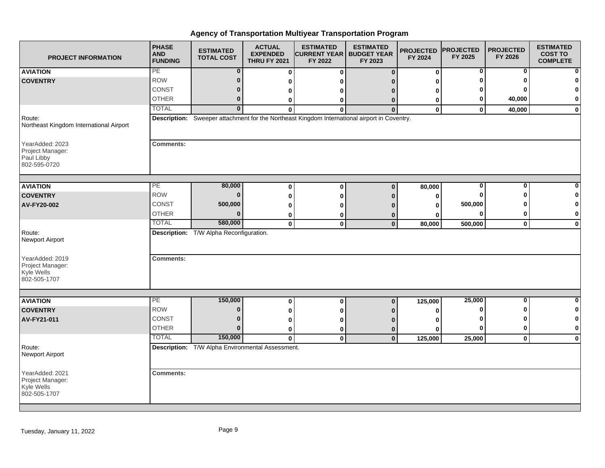| <b>PROJECT INFORMATION</b>                                        | <b>PHASE</b><br><b>AND</b><br><b>FUNDING</b> | <b>ESTIMATED</b><br><b>TOTAL COST</b>            | <b>ACTUAL</b><br><b>EXPENDED</b><br><b>THRU FY 2021</b> | <b>ESTIMATED</b><br><b>CURRENT YEAR</b><br>FY 2022 | <b>ESTIMATED</b><br><b>BUDGET YEAR</b><br>FY 2023                                            | <b>PROJECTED</b><br>FY 2024 | <b>PROJECTED</b><br>FY 2025 | <b>PROJECTED</b><br>FY 2026 | <b>ESTIMATED</b><br><b>COST TO</b><br><b>COMPLETE</b> |
|-------------------------------------------------------------------|----------------------------------------------|--------------------------------------------------|---------------------------------------------------------|----------------------------------------------------|----------------------------------------------------------------------------------------------|-----------------------------|-----------------------------|-----------------------------|-------------------------------------------------------|
| <b>AVIATION</b>                                                   | PE                                           | $\bf{0}$                                         | $\mathbf 0$                                             | $\bf{0}$                                           | $\Omega$                                                                                     | $\bf{0}$                    | 0                           | 0                           | $\mathbf{0}$                                          |
| <b>COVENTRY</b>                                                   | <b>ROW</b>                                   | $\bf{0}$                                         | 0                                                       |                                                    |                                                                                              | ŋ                           |                             |                             | $\mathbf{0}$                                          |
|                                                                   | CONST                                        | 0                                                | 0                                                       |                                                    |                                                                                              | 0                           |                             |                             | $\mathbf{0}$                                          |
|                                                                   | <b>OTHER</b>                                 | $\bf{0}$                                         | 0                                                       | 0                                                  | O                                                                                            | 0                           | 0                           | 40,000                      | $\mathbf{0}$                                          |
|                                                                   | <b>TOTAL</b>                                 | $\overline{0}$                                   | ŋ                                                       | $\Omega$                                           | $\Omega$                                                                                     | $\mathbf 0$                 | $\mathbf{0}$                | 40,000                      | $\mathbf{0}$                                          |
| Route:<br>Northeast Kingdom International Airport                 |                                              |                                                  |                                                         |                                                    | Description: Sweeper attachment for the Northeast Kingdom International airport in Coventry. |                             |                             |                             |                                                       |
| YearAdded: 2023<br>Project Manager:<br>Paul Libby<br>802-595-0720 | <b>Comments:</b>                             |                                                  |                                                         |                                                    |                                                                                              |                             |                             |                             |                                                       |
| <b>AVIATION</b>                                                   | PE                                           | 80,000                                           | $\bf{0}$                                                | $\bf{0}$                                           | $\mathbf{0}$                                                                                 | 80,000                      | 0                           | 0                           | $\mathbf{0}$                                          |
| <b>COVENTRY</b>                                                   | <b>ROW</b>                                   | $\bf{0}$                                         | 0                                                       | ŋ                                                  |                                                                                              | 0                           |                             |                             | $\mathbf 0$                                           |
| AV-FY20-002                                                       | CONST                                        | 500,000                                          | 0                                                       |                                                    |                                                                                              | O                           | 500,000                     |                             | $\mathbf{0}$                                          |
|                                                                   | <b>OTHER</b>                                 | $\bf{0}$                                         | 0                                                       |                                                    |                                                                                              | ŋ                           | O                           |                             | $\mathbf{0}$                                          |
|                                                                   | <b>TOTAL</b>                                 | 580,000                                          | $\pmb{0}$                                               | $\mathbf 0$                                        | $\mathbf 0$                                                                                  | 80,000                      | 500,000                     | $\mathbf 0$                 | $\mathbf{0}$                                          |
| Route:<br><b>Newport Airport</b>                                  |                                              | Description: T/W Alpha Reconfiguration.          |                                                         |                                                    |                                                                                              |                             |                             |                             |                                                       |
| YearAdded: 2019<br>Project Manager:<br>Kyle Wells<br>802-505-1707 | <b>Comments:</b>                             |                                                  |                                                         |                                                    |                                                                                              |                             |                             |                             |                                                       |
|                                                                   |                                              |                                                  |                                                         |                                                    |                                                                                              |                             |                             |                             |                                                       |
| <b>AVIATION</b>                                                   | PE                                           | 150,000                                          | $\bf{0}$                                                | $\bf{0}$                                           | $\mathbf 0$                                                                                  | 125,000                     | 25,000                      | 0                           | $\mathbf{0}$                                          |
| <b>COVENTRY</b>                                                   | <b>ROW</b>                                   | $\bf{0}$                                         | 0                                                       |                                                    |                                                                                              | ŋ                           | O                           |                             | $\mathbf{0}$                                          |
| AV-FY21-011                                                       | <b>CONST</b>                                 | $\bf{0}$                                         | 0                                                       |                                                    |                                                                                              |                             |                             |                             | $\mathbf{0}$                                          |
|                                                                   | <b>OTHER</b>                                 | $\mathbf 0$                                      | 0                                                       | 0                                                  | 0                                                                                            | 0                           | $\bf{0}$                    | ŋ                           | $\mathbf{0}$                                          |
|                                                                   | <b>TOTAL</b>                                 | 150,000                                          | $\mathbf{0}$                                            | $\mathbf{0}$                                       | $\bf{0}$                                                                                     | 125,000                     | 25,000                      | $\mathbf 0$                 | $\mathbf{0}$                                          |
| Route:<br>Newport Airport                                         |                                              | Description: T/W Alpha Environmental Assessment. |                                                         |                                                    |                                                                                              |                             |                             |                             |                                                       |
| YearAdded: 2021<br>Project Manager:<br>Kyle Wells<br>802-505-1707 | <b>Comments:</b>                             |                                                  |                                                         |                                                    |                                                                                              |                             |                             |                             |                                                       |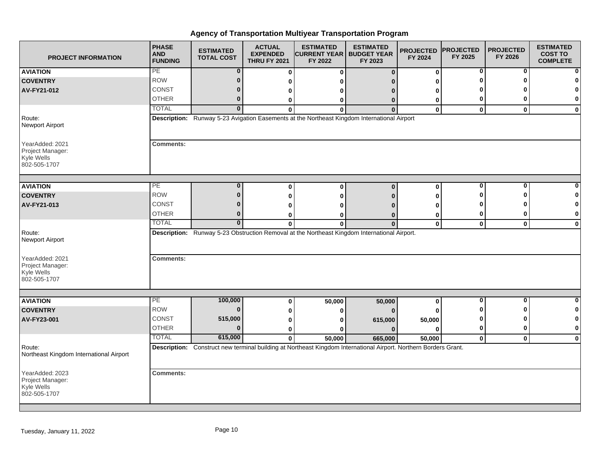| <b>PROJECT INFORMATION</b>                                        | <b>PHASE</b><br><b>AND</b><br><b>FUNDING</b> | <b>ESTIMATED</b><br><b>TOTAL COST</b> | <b>ACTUAL</b><br><b>EXPENDED</b><br><b>THRU FY 2021</b> | <b>ESTIMATED</b><br><b>CURRENT YEAR   BUDGET YEAR</b><br>FY 2022                                                           | <b>ESTIMATED</b><br>FY 2023 | <b>PROJECTED</b><br>FY 2024 | <b>PROJECTED</b><br>FY 2025 | <b>PROJECTED</b><br>FY 2026 | <b>ESTIMATED</b><br><b>COST TO</b><br><b>COMPLETE</b> |
|-------------------------------------------------------------------|----------------------------------------------|---------------------------------------|---------------------------------------------------------|----------------------------------------------------------------------------------------------------------------------------|-----------------------------|-----------------------------|-----------------------------|-----------------------------|-------------------------------------------------------|
| <b>AVIATION</b>                                                   | PE                                           | $\bf{0}$                              | $\mathbf 0$                                             | $\bf{0}$                                                                                                                   | $\bf{0}$                    | 0                           | 0                           | 0                           |                                                       |
| <b>COVENTRY</b>                                                   | <b>ROW</b>                                   | $\bf{0}$                              | 0                                                       | n                                                                                                                          |                             | U                           | ŋ                           | ŋ                           |                                                       |
| AV-FY21-012                                                       | CONST                                        | $\bf{0}$                              | 0                                                       | o                                                                                                                          |                             | o                           |                             |                             |                                                       |
|                                                                   | <b>OTHER</b>                                 | $\bf{0}$                              | 0                                                       | 0                                                                                                                          | 0                           | 0                           | 0                           | O                           | 0                                                     |
|                                                                   | <b>TOTAL</b>                                 | $\overline{0}$                        | $\bf{0}$                                                | $\bf{0}$                                                                                                                   | $\Omega$                    | 0                           | $\mathbf 0$                 | $\mathbf{0}$                | $\mathbf 0$                                           |
| Route:<br>Newport Airport                                         |                                              |                                       |                                                         | Description: Runway 5-23 Avigation Easements at the Northeast Kingdom International Airport                                |                             |                             |                             |                             |                                                       |
| YearAdded: 2021<br>Project Manager:<br>Kyle Wells<br>802-505-1707 | <b>Comments:</b>                             |                                       |                                                         |                                                                                                                            |                             |                             |                             |                             |                                                       |
| <b>AVIATION</b>                                                   | PE                                           | $\bf{0}$                              | $\bf{0}$                                                | 0                                                                                                                          | $\bf{0}$                    | 0                           | $\bf{0}$                    | $\bf{0}$                    |                                                       |
| <b>COVENTRY</b>                                                   | <b>ROW</b>                                   | $\mathbf{0}$                          | 0                                                       | 0                                                                                                                          |                             | 0                           | ŋ                           | ∩                           | n                                                     |
| AV-FY21-013                                                       | CONST                                        | $\bf{0}$                              | 0                                                       | ŋ                                                                                                                          |                             |                             |                             |                             | 0                                                     |
|                                                                   | <b>OTHER</b>                                 | $\bf{0}$                              | 0                                                       | 0                                                                                                                          | 0                           | 0                           | 0                           | 0                           | 0                                                     |
|                                                                   | <b>TOTAL</b>                                 | $\mathbf{0}$                          | $\mathbf{0}$                                            | $\bf{0}$                                                                                                                   | $\Omega$                    | $\mathbf 0$                 | $\mathbf{0}$                | $\mathbf 0$                 | $\mathbf 0$                                           |
| Route:<br>Newport Airport                                         |                                              |                                       |                                                         | Description: Runway 5-23 Obstruction Removal at the Northeast Kingdom International Airport.                               |                             |                             |                             |                             |                                                       |
| YearAdded: 2021<br>Project Manager:<br>Kyle Wells<br>802-505-1707 | <b>Comments:</b>                             |                                       |                                                         |                                                                                                                            |                             |                             |                             |                             |                                                       |
|                                                                   |                                              |                                       |                                                         |                                                                                                                            |                             |                             |                             |                             |                                                       |
| <b>AVIATION</b>                                                   | РE<br><b>ROW</b>                             | 100,000<br>$\bf{0}$                   | 0                                                       | 50,000                                                                                                                     | 50,000                      | 0                           | 0<br>ŋ                      | 0<br>ŋ                      | 0<br>0                                                |
| <b>COVENTRY</b>                                                   | CONST                                        | 515,000                               | 0                                                       | 0                                                                                                                          |                             |                             | ŋ                           | ŋ                           | 0                                                     |
| AV-FY23-001                                                       | <b>OTHER</b>                                 | $\Omega$                              | 0                                                       | 0                                                                                                                          | 615,000                     | 50,000                      | $\bf{0}$                    | $\bf{0}$                    | $\bf{0}$                                              |
|                                                                   | <b>TOTAL</b>                                 | 615,000                               | 0                                                       | ŋ                                                                                                                          |                             | 0                           |                             |                             |                                                       |
| Route:<br>Northeast Kingdom International Airport                 |                                              |                                       | $\mathbf{0}$                                            | 50,000<br>Description: Construct new terminal building at Northeast Kingdom International Airport. Northern Borders Grant. | 665,000                     | 50,000                      | 0                           | $\mathbf 0$                 | $\mathbf 0$                                           |
| YearAdded: 2023<br>Project Manager:<br>Kyle Wells<br>802-505-1707 | <b>Comments:</b>                             |                                       |                                                         |                                                                                                                            |                             |                             |                             |                             |                                                       |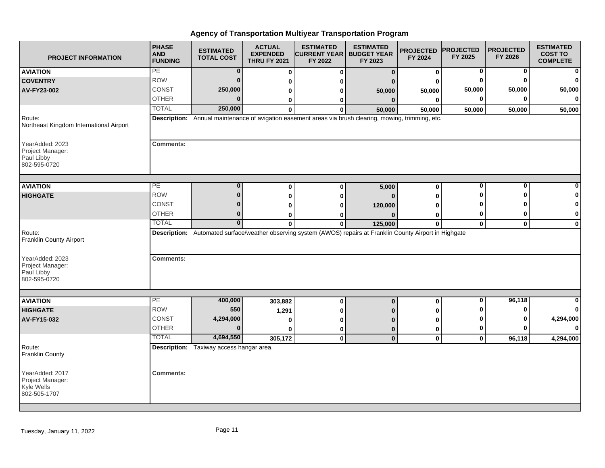| <b>PROJECT INFORMATION</b>                                        | <b>PHASE</b><br><b>AND</b><br><b>FUNDING</b> | <b>ESTIMATED</b><br><b>TOTAL COST</b>    | <b>ACTUAL</b><br><b>EXPENDED</b><br><b>THRU FY 2021</b> | <b>ESTIMATED</b><br><b>CURRENT YEAR</b><br>FY 2022 | <b>ESTIMATED</b><br><b>BUDGET YEAR</b><br>FY 2023                                                             | <b>PROJECTED</b><br>FY 2024 | <b>PROJECTED</b><br>FY 2025 | <b>PROJECTED</b><br>FY 2026 | <b>ESTIMATED</b><br><b>COST TO</b><br><b>COMPLETE</b> |
|-------------------------------------------------------------------|----------------------------------------------|------------------------------------------|---------------------------------------------------------|----------------------------------------------------|---------------------------------------------------------------------------------------------------------------|-----------------------------|-----------------------------|-----------------------------|-------------------------------------------------------|
| <b>AVIATION</b>                                                   | PE                                           | $\bf{0}$                                 | 0                                                       | 0                                                  | $\bf{0}$                                                                                                      | 0                           | 0                           | 0                           | $\mathbf{0}$                                          |
| <b>COVENTRY</b>                                                   | <b>ROW</b>                                   | $\Omega$                                 | 0                                                       | ŋ                                                  |                                                                                                               | O                           | 0                           |                             | $\mathbf{0}$                                          |
| AV-FY23-002                                                       | CONST                                        | 250,000                                  | 0                                                       | ŋ                                                  | 50,000                                                                                                        | 50,000                      | 50,000                      | 50,000                      | 50,000                                                |
|                                                                   | <b>OTHER</b>                                 | $\Omega$                                 | 0                                                       | o                                                  | $\mathbf{0}$                                                                                                  | $\Omega$                    | 0                           |                             | $\mathbf{0}$                                          |
|                                                                   | <b>TOTAL</b>                                 | 250,000                                  | <sup>0</sup>                                            | ŋ                                                  | 50,000                                                                                                        | 50,000                      | 50,000                      | 50,000                      | 50,000                                                |
| Route:<br>Northeast Kingdom International Airport                 |                                              |                                          |                                                         |                                                    | Description: Annual maintenance of avigation easement areas via brush clearing, mowing, trimming, etc.        |                             |                             |                             |                                                       |
| YearAdded: 2023<br>Project Manager:<br>Paul Libby<br>802-595-0720 | <b>Comments:</b>                             |                                          |                                                         |                                                    |                                                                                                               |                             |                             |                             |                                                       |
| <b>AVIATION</b>                                                   | PE                                           | $\bf{0}$                                 | 0                                                       | $\bf{0}$                                           | 5,000                                                                                                         | $\mathbf 0$                 | $\bf{0}$                    | $\bf{0}$                    | $\mathbf{0}$                                          |
| <b>HIGHGATE</b>                                                   | <b>ROW</b>                                   | $\bf{0}$                                 | $\bf{0}$                                                | n                                                  |                                                                                                               | n                           | ŋ                           |                             | $\bf{0}$                                              |
|                                                                   | CONST                                        | 0                                        | 0                                                       |                                                    | 120,000                                                                                                       |                             |                             |                             | $\mathbf{0}$                                          |
|                                                                   | <b>OTHER</b>                                 | $\bf{0}$                                 | 0                                                       |                                                    |                                                                                                               | O                           | 0                           |                             | $\mathbf{0}$                                          |
|                                                                   | <b>TOTAL</b>                                 | $\bf{0}$                                 | $\bf{0}$                                                | 0                                                  | 125,000                                                                                                       | $\mathbf{0}$                | $\mathbf 0$                 | $\mathbf 0$                 | $\mathbf{0}$                                          |
| Route:<br>Franklin County Airport                                 |                                              |                                          |                                                         |                                                    | Description: Automated surface/weather observing system (AWOS) repairs at Franklin County Airport in Highgate |                             |                             |                             |                                                       |
| YearAdded: 2023<br>Project Manager:<br>Paul Libby<br>802-595-0720 | <b>Comments:</b>                             |                                          |                                                         |                                                    |                                                                                                               |                             |                             |                             |                                                       |
| <b>AVIATION</b>                                                   | PE                                           | 400,000                                  | 303,882                                                 | 0                                                  | $\mathbf 0$                                                                                                   | $\bf{0}$                    | 0                           | 96,118                      | $\mathbf{0}$                                          |
| <b>HIGHGATE</b>                                                   | <b>ROW</b>                                   | 550                                      | 1,291                                                   |                                                    |                                                                                                               |                             | ŋ                           | ŋ                           | $\mathbf{0}$                                          |
| AV-FY15-032                                                       | CONST                                        | 4,294,000                                | 0                                                       |                                                    |                                                                                                               | O                           |                             |                             | 4,294,000                                             |
|                                                                   | <b>OTHER</b>                                 | $\Omega$                                 | U                                                       | 0                                                  | $\bf{0}$                                                                                                      | 0                           | 0                           |                             | $\mathbf{0}$                                          |
|                                                                   | <b>TOTAL</b>                                 | 4,694,550                                | 305,172                                                 | $\mathbf 0$                                        | $\mathbf 0$                                                                                                   | $\mathbf 0$                 | $\mathbf 0$                 | 96,118                      | 4,294,000                                             |
| Route:<br>Franklin County                                         |                                              | Description: Taxiway access hangar area. |                                                         |                                                    |                                                                                                               |                             |                             |                             |                                                       |
| YearAdded: 2017<br>Project Manager:<br>Kyle Wells<br>802-505-1707 | <b>Comments:</b>                             |                                          |                                                         |                                                    |                                                                                                               |                             |                             |                             |                                                       |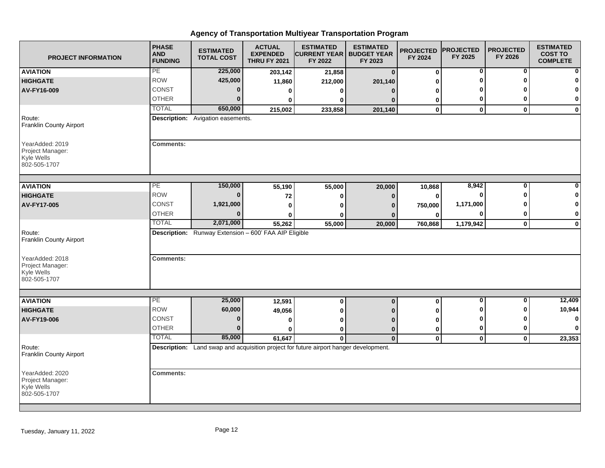| <b>PROJECT INFORMATION</b>                                        | <b>PHASE</b><br><b>AND</b><br><b>FUNDING</b> | <b>ESTIMATED</b><br><b>TOTAL COST</b>                                                 | <b>ACTUAL</b><br><b>EXPENDED</b><br><b>THRU FY 2021</b> | <b>ESTIMATED</b><br><b>CURRENT YEAR   BUDGET YEAR</b><br>FY 2022 | <b>ESTIMATED</b><br>FY 2023 | <b>PROJECTED</b><br>FY 2024 | <b>PROJECTED</b><br>FY 2025 | <b>PROJECTED</b><br>FY 2026 | <b>ESTIMATED</b><br><b>COST TO</b><br><b>COMPLETE</b> |
|-------------------------------------------------------------------|----------------------------------------------|---------------------------------------------------------------------------------------|---------------------------------------------------------|------------------------------------------------------------------|-----------------------------|-----------------------------|-----------------------------|-----------------------------|-------------------------------------------------------|
| <b>AVIATION</b>                                                   | PE                                           | 225,000                                                                               | 203,142                                                 | 21,858                                                           | $\bf{0}$                    | $\bf{0}$                    | 0                           | 0                           | $\mathbf{0}$                                          |
| <b>HIGHGATE</b>                                                   | <b>ROW</b>                                   | 425,000                                                                               | 11,860                                                  | 212,000                                                          | 201,140                     | ŋ                           |                             |                             | $\mathbf{0}$                                          |
| AV-FY16-009                                                       | CONST                                        | 0                                                                                     | 0                                                       | o                                                                | n                           | o                           |                             |                             | $\mathbf{0}$                                          |
|                                                                   | <b>OTHER</b>                                 | $\bf{0}$                                                                              |                                                         | ŋ                                                                |                             | 0                           | 0                           |                             | $\mathbf{0}$                                          |
|                                                                   | <b>TOTAL</b>                                 | 650,000                                                                               | 215,002                                                 | 233,858                                                          | 201,140                     | $\mathbf 0$                 | $\mathbf 0$                 | $\bf{0}$                    | $\mathbf{0}$                                          |
| Route:<br>Franklin County Airport                                 |                                              | Description: Avigation easements.                                                     |                                                         |                                                                  |                             |                             |                             |                             |                                                       |
| YearAdded: 2019<br>Project Manager:<br>Kyle Wells<br>802-505-1707 | <b>Comments:</b>                             |                                                                                       |                                                         |                                                                  |                             |                             |                             |                             |                                                       |
| <b>AVIATION</b>                                                   | PE                                           | 150,000                                                                               |                                                         |                                                                  |                             |                             | 8,942                       | $\bf{0}$                    | $\mathbf{0}$                                          |
| <b>HIGHGATE</b>                                                   | <b>ROW</b>                                   | $\bf{0}$                                                                              | 55,190<br>72                                            | 55,000                                                           | 20,000                      | 10,868<br>0                 |                             |                             | 0                                                     |
| AV-FY17-005                                                       | CONST                                        | 1,921,000                                                                             | 0                                                       | o<br>n                                                           | n<br>n                      | 750,000                     | 1,171,000                   |                             | 0                                                     |
|                                                                   | <b>OTHER</b>                                 | $\bf{0}$                                                                              | Ω                                                       |                                                                  |                             | 0                           |                             |                             | $\mathbf{0}$                                          |
|                                                                   | <b>TOTAL</b>                                 | 2,071,000                                                                             | 55,262                                                  | 55,000                                                           | 20,000                      | 760,868                     | 1,179,942                   | $\mathbf 0$                 | $\mathbf{0}$                                          |
| Route:<br>Franklin County Airport                                 |                                              | <b>Description:</b> Runway Extension - 600' FAA AIP Eligible                          |                                                         |                                                                  |                             |                             |                             |                             |                                                       |
| YearAdded: 2018<br>Project Manager:<br>Kyle Wells<br>802-505-1707 | <b>Comments:</b>                             |                                                                                       |                                                         |                                                                  |                             |                             |                             |                             |                                                       |
|                                                                   | PE                                           | 25,000                                                                                |                                                         |                                                                  |                             |                             | $\bf{0}$                    | $\bf{0}$                    | 12,409                                                |
| <b>AVIATION</b><br><b>HIGHGATE</b>                                | <b>ROW</b>                                   | 60,000                                                                                | 12,591                                                  | $\pmb{0}$                                                        | $\mathbf 0$                 | $\bf{0}$                    |                             |                             | 10,944                                                |
| AV-FY19-006                                                       | <b>CONST</b>                                 | $\bf{0}$                                                                              | 49,056                                                  | 0                                                                |                             |                             |                             |                             | $\mathbf{0}$                                          |
|                                                                   | <b>OTHER</b>                                 | $\Omega$                                                                              | 0<br>O                                                  |                                                                  |                             | ŋ                           | 0                           | ŋ                           | $\mathbf{0}$                                          |
|                                                                   | <b>TOTAL</b>                                 | 85,000                                                                                | 61,647                                                  | 0<br>$\bf{0}$                                                    | $\Omega$<br>$\mathbf{0}$    | 0<br>$\mathbf 0$            | $\mathbf 0$                 | $\mathbf 0$                 | 23,353                                                |
| Route:<br>Franklin County Airport                                 |                                              | Description: Land swap and acquisition project for future airport hanger development. |                                                         |                                                                  |                             |                             |                             |                             |                                                       |
| YearAdded: 2020<br>Project Manager:<br>Kyle Wells<br>802-505-1707 | <b>Comments:</b>                             |                                                                                       |                                                         |                                                                  |                             |                             |                             |                             |                                                       |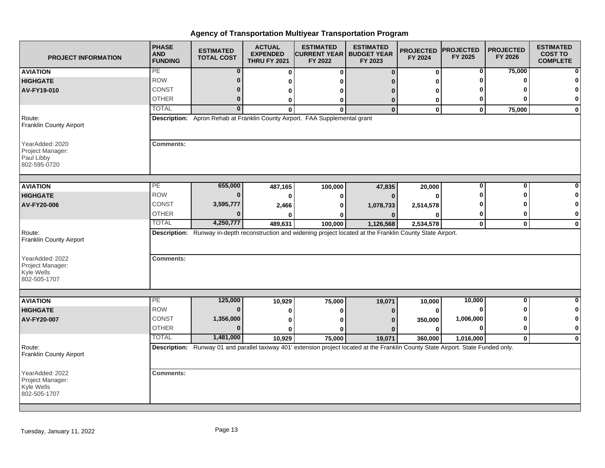| <b>PROJECT INFORMATION</b>                                        | <b>PHASE</b><br><b>AND</b><br><b>FUNDING</b> | <b>ESTIMATED</b><br><b>TOTAL COST</b> | <b>ACTUAL</b><br><b>EXPENDED</b><br><b>THRU FY 2021</b> | <b>ESTIMATED</b><br><b>CURRENT YEAR</b><br>FY 2022                          | <b>ESTIMATED</b><br><b>BUDGET YEAR</b><br>FY 2023                                                                                   | <b>PROJECTED</b><br>FY 2024 | <b>PROJECTED</b><br>FY 2025 | <b>PROJECTED</b><br>FY 2026 | <b>ESTIMATED</b><br><b>COST TO</b><br><b>COMPLETE</b> |
|-------------------------------------------------------------------|----------------------------------------------|---------------------------------------|---------------------------------------------------------|-----------------------------------------------------------------------------|-------------------------------------------------------------------------------------------------------------------------------------|-----------------------------|-----------------------------|-----------------------------|-------------------------------------------------------|
| <b>AVIATION</b>                                                   | PE                                           | $\bf{0}$                              | $\bf{0}$                                                | 0                                                                           | $\Omega$                                                                                                                            | $\bf{0}$                    | 0                           | 75,000                      | $\mathbf{0}$                                          |
| <b>HIGHGATE</b>                                                   | <b>ROW</b>                                   | 0                                     | 0                                                       |                                                                             |                                                                                                                                     |                             |                             |                             | 0                                                     |
| AV-FY19-010                                                       | CONST                                        | $\bf{0}$                              | 0                                                       |                                                                             |                                                                                                                                     |                             |                             |                             | 0                                                     |
|                                                                   | <b>OTHER</b>                                 | $\bf{0}$                              | 0                                                       | o                                                                           | O                                                                                                                                   | 0                           | 0                           |                             | $\mathbf{0}$                                          |
|                                                                   | <b>TOTAL</b>                                 | $\Omega$                              |                                                         | ŋ                                                                           | $\bf{0}$                                                                                                                            | $\Omega$                    | $\mathbf 0$                 | 75,000                      | $\mathbf{0}$                                          |
| Route:<br>Franklin County Airport                                 |                                              |                                       |                                                         | Description: Apron Rehab at Franklin County Airport. FAA Supplemental grant |                                                                                                                                     |                             |                             |                             |                                                       |
| YearAdded: 2020<br>Project Manager:<br>Paul Libby<br>802-595-0720 | <b>Comments:</b>                             |                                       |                                                         |                                                                             |                                                                                                                                     |                             |                             |                             |                                                       |
| <b>AVIATION</b>                                                   | PE                                           | 655,000                               | 487,165                                                 | 100,000                                                                     | 47,835                                                                                                                              | 20,000                      | 0                           | 0                           | $\mathbf{0}$                                          |
| <b>HIGHGATE</b>                                                   | <b>ROW</b>                                   | $\bf{0}$                              |                                                         |                                                                             |                                                                                                                                     |                             |                             |                             | $\mathbf{0}$                                          |
| AV-FY20-006                                                       | <b>CONST</b>                                 | 3,595,777                             | 2,466                                                   |                                                                             | 1,078,733                                                                                                                           | 2,514,578                   |                             |                             | 0                                                     |
|                                                                   | <b>OTHER</b>                                 |                                       |                                                         |                                                                             |                                                                                                                                     |                             | 0                           |                             | $\mathbf{0}$                                          |
|                                                                   | <b>TOTAL</b>                                 | 4,250,777                             | 489,631                                                 | 100,000                                                                     | 1,126,568                                                                                                                           | 2,534,578                   | $\mathbf 0$                 | $\mathbf{0}$                | $\mathbf{0}$                                          |
| Route:<br>Franklin County Airport                                 |                                              |                                       |                                                         |                                                                             | Description: Runway in-depth reconstruction and widening project located at the Franklin County State Airport.                      |                             |                             |                             |                                                       |
| YearAdded: 2022<br>Project Manager:<br>Kyle Wells<br>802-505-1707 | <b>Comments:</b>                             |                                       |                                                         |                                                                             |                                                                                                                                     |                             |                             |                             |                                                       |
| <b>AVIATION</b>                                                   | PE                                           | 125,000                               | 10,929                                                  | 75,000                                                                      | 19,071                                                                                                                              | 10,000                      | 10,000                      | $\bf{0}$                    | $\mathbf{0}$                                          |
| <b>HIGHGATE</b>                                                   | <b>ROW</b>                                   | $\bf{0}$                              | 0                                                       | ŋ                                                                           |                                                                                                                                     | 0                           | ŋ                           |                             | $\mathbf{0}$                                          |
| AV-FY20-007                                                       | <b>CONST</b>                                 | 1,356,000                             | 0                                                       |                                                                             |                                                                                                                                     | 350,000                     | 1,006,000                   |                             | $\mathbf{0}$                                          |
|                                                                   | <b>OTHER</b>                                 | $\Omega$                              |                                                         |                                                                             |                                                                                                                                     |                             |                             | 0                           | $\mathbf{0}$                                          |
|                                                                   | <b>TOTAL</b>                                 | 1,481,000                             | 10,929                                                  | 75,000                                                                      | 19,071                                                                                                                              | 360,000                     | 1,016,000                   | $\mathbf{0}$                | $\mathbf{0}$                                          |
| Route:<br><b>Franklin County Airport</b>                          |                                              |                                       |                                                         |                                                                             | Description: Runway 01 and parallel taxiway 401' extension project located at the Franklin County State Airport. State Funded only. |                             |                             |                             |                                                       |
| YearAdded: 2022<br>Project Manager:<br>Kyle Wells<br>802-505-1707 | <b>Comments:</b>                             |                                       |                                                         |                                                                             |                                                                                                                                     |                             |                             |                             |                                                       |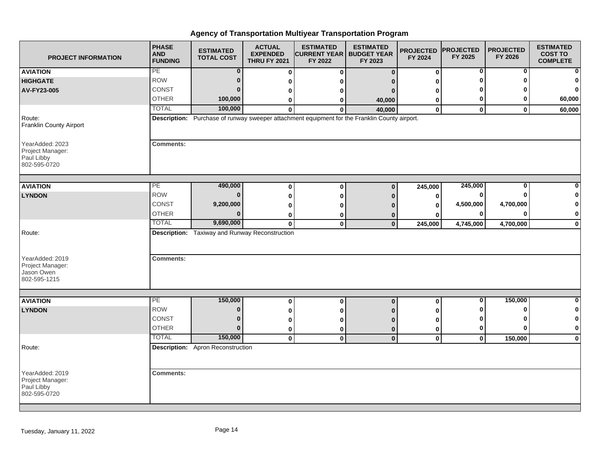| <b>PROJECT INFORMATION</b>                                                  | <b>PHASE</b><br><b>AND</b><br><b>FUNDING</b> | <b>ESTIMATED</b><br><b>TOTAL COST</b>                 | <b>ACTUAL</b><br><b>EXPENDED</b><br><b>THRU FY 2021</b> | <b>ESTIMATED</b><br><b>CURRENT YEAR   BUDGET YEAR</b><br>FY 2022                              | <b>ESTIMATED</b><br>FY 2023 | <b>PROJECTED</b><br>FY 2024 | <b>PROJECTED</b><br>FY 2025 | <b>PROJECTED</b><br>FY 2026 | <b>ESTIMATED</b><br><b>COST TO</b><br><b>COMPLETE</b> |
|-----------------------------------------------------------------------------|----------------------------------------------|-------------------------------------------------------|---------------------------------------------------------|-----------------------------------------------------------------------------------------------|-----------------------------|-----------------------------|-----------------------------|-----------------------------|-------------------------------------------------------|
| <b>AVIATION</b>                                                             | PE                                           | $\bf{0}$                                              | $\bf{0}$                                                | 0                                                                                             | $\Omega$                    | $\bf{0}$                    | 0                           | 0                           | $\mathbf{0}$                                          |
| <b>HIGHGATE</b>                                                             | <b>ROW</b>                                   | $\bf{0}$                                              | 0                                                       |                                                                                               |                             |                             |                             |                             | $\mathbf{0}$                                          |
| AV-FY23-005                                                                 | CONST                                        | $\Omega$                                              | 0                                                       |                                                                                               | n                           |                             |                             |                             | $\mathbf{0}$                                          |
|                                                                             | <b>OTHER</b>                                 | 100,000                                               | 0                                                       | 0                                                                                             | 40,000                      | 0                           | 0                           |                             | 60,000                                                |
|                                                                             | <b>TOTAL</b>                                 | 100,000                                               | 0                                                       | $\bf{0}$                                                                                      | 40,000                      | $\mathbf 0$                 | $\mathbf{0}$                | $\mathbf{0}$                | 60,000                                                |
| Route:<br>Franklin County Airport                                           |                                              |                                                       |                                                         | Description: Purchase of runway sweeper attachment equipment for the Franklin County airport. |                             |                             |                             |                             |                                                       |
| YearAdded: 2023<br>Project Manager:<br>Paul Libby<br>802-595-0720           | <b>Comments:</b>                             |                                                       |                                                         |                                                                                               |                             |                             |                             |                             |                                                       |
| <b>AVIATION</b>                                                             | PE                                           | 490,000                                               | 0                                                       | 0                                                                                             | $\mathbf{0}$                | 245,000                     | 245,000                     | $\bf{0}$                    | 0                                                     |
| <b>LYNDON</b>                                                               | <b>ROW</b>                                   | $\Omega$                                              | 0                                                       | O                                                                                             | n                           | 0                           |                             |                             | 0                                                     |
|                                                                             | CONST                                        | 9,200,000                                             | 0                                                       |                                                                                               |                             | 0                           | 4,500,000                   | 4,700,000                   | $\mathbf{0}$                                          |
|                                                                             | <b>OTHER</b>                                 | $\Omega$                                              | 0                                                       | o                                                                                             | n                           |                             | $\mathbf{0}$                | O                           | $\mathbf{0}$                                          |
|                                                                             | <b>TOTAL</b>                                 | 9,690,000                                             | $\mathbf 0$                                             | $\bf{0}$                                                                                      | $\mathbf{0}$                | 245,000                     | 4,745,000                   | 4,700,000                   | $\mathbf{0}$                                          |
| Route:<br>YearAdded: 2019<br>Project Manager:<br>Jason Owen<br>802-595-1215 | <b>Comments:</b>                             | <b>Description:</b> Taxiway and Runway Reconstruction |                                                         |                                                                                               |                             |                             |                             |                             |                                                       |
|                                                                             |                                              |                                                       |                                                         |                                                                                               |                             |                             |                             |                             |                                                       |
| <b>AVIATION</b>                                                             | PE                                           | 150,000                                               | 0                                                       | $\mathbf 0$                                                                                   | $\mathbf 0$                 | $\bf{0}$                    | 0                           | 150,000                     | $\mathbf{0}$                                          |
| <b>LYNDON</b>                                                               | <b>ROW</b>                                   | $\bf{0}$                                              | 0                                                       |                                                                                               |                             |                             | ŋ                           |                             | $\mathbf{0}$                                          |
|                                                                             | CONST                                        | $\Omega$                                              | 0                                                       |                                                                                               |                             | o                           |                             |                             | $\mathbf{0}$                                          |
|                                                                             | <b>OTHER</b>                                 | $\bf{0}$                                              | 0                                                       | 0                                                                                             | $\bf{0}$                    | 0                           | 0                           |                             | $\mathbf{0}$                                          |
|                                                                             | <b>TOTAL</b>                                 | 150,000                                               | $\mathbf 0$                                             | $\mathbf 0$                                                                                   | $\mathbf{0}$                | $\mathbf 0$                 | $\mathbf 0$                 | 150,000                     | $\mathbf{0}$                                          |
| Route:                                                                      |                                              | <b>Description:</b> Apron Reconstruction              |                                                         |                                                                                               |                             |                             |                             |                             |                                                       |
| YearAdded: 2019<br>Project Manager:<br>Paul Libby<br>802-595-0720           | <b>Comments:</b>                             |                                                       |                                                         |                                                                                               |                             |                             |                             |                             |                                                       |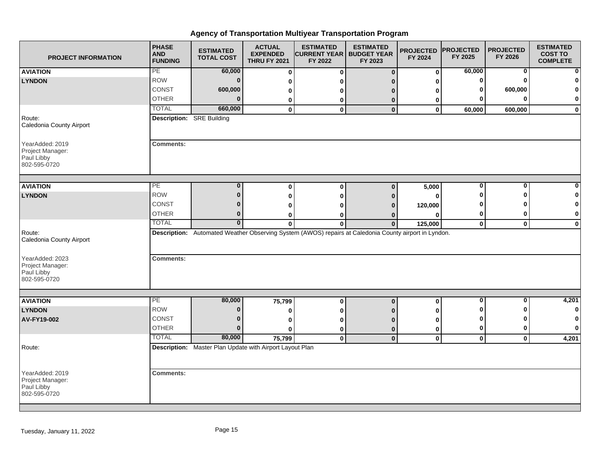| <b>PROJECT INFORMATION</b>                                                | <b>PHASE</b><br><b>AND</b><br><b>FUNDING</b> | <b>ESTIMATED</b><br><b>TOTAL COST</b>                    | <b>ACTUAL</b><br><b>EXPENDED</b><br><b>THRU FY 2021</b> | <b>ESTIMATED</b><br><b>CURRENT YEAR   BUDGET YEAR</b><br>FY 2022                                      | <b>ESTIMATED</b><br>FY 2023 | <b>PROJECTED</b><br>FY 2024 | <b>PROJECTED</b><br>FY 2025 | <b>PROJECTED</b><br>FY 2026 | <b>ESTIMATED</b><br><b>COST TO</b><br><b>COMPLETE</b> |
|---------------------------------------------------------------------------|----------------------------------------------|----------------------------------------------------------|---------------------------------------------------------|-------------------------------------------------------------------------------------------------------|-----------------------------|-----------------------------|-----------------------------|-----------------------------|-------------------------------------------------------|
| <b>AVIATION</b>                                                           | PE                                           | 60,000                                                   | $\mathbf 0$                                             | $\bf{0}$                                                                                              | $\mathbf{0}$                | $\mathbf 0$                 | 60,000                      | 0                           | $\mathbf{0}$                                          |
| <b>LYNDON</b>                                                             | <b>ROW</b>                                   | $\bf{0}$                                                 | 0                                                       |                                                                                                       |                             |                             | 0                           |                             | $\mathbf{0}$                                          |
|                                                                           | CONST                                        | 600,000                                                  | 0                                                       |                                                                                                       |                             |                             | ŋ                           | 600,000                     | $\mathbf{0}$                                          |
|                                                                           | <b>OTHER</b>                                 | $\Omega$                                                 | 0                                                       | o                                                                                                     | $\bf{0}$                    | 0                           | O                           |                             | $\mathbf{0}$                                          |
|                                                                           | <b>TOTAL</b>                                 | 660,000                                                  | 0                                                       | $\mathbf 0$                                                                                           | $\mathbf{0}$                | $\mathbf 0$                 | 60,000                      | 600,000                     | $\mathbf{0}$                                          |
| Route:<br>Caledonia County Airport                                        | <b>Description:</b> SRE Building             |                                                          |                                                         |                                                                                                       |                             |                             |                             |                             |                                                       |
| YearAdded: 2019<br>Project Manager:<br>Paul Libby<br>802-595-0720         | <b>Comments:</b>                             |                                                          |                                                         |                                                                                                       |                             |                             |                             |                             |                                                       |
| <b>AVIATION</b>                                                           | PE                                           | $\bf{0}$                                                 | 0                                                       | $\bf{0}$                                                                                              | $\Omega$                    | 5,000                       | 0                           | 0                           | $\mathbf{0}$                                          |
| <b>LYNDON</b>                                                             | <b>ROW</b>                                   | $\bf{0}$                                                 | 0                                                       | ŋ                                                                                                     | O                           | ŋ                           |                             |                             | $\mathbf{0}$                                          |
|                                                                           | CONST                                        | n                                                        | 0                                                       |                                                                                                       | 0                           | 120,000                     |                             |                             | $\mathbf{0}$                                          |
|                                                                           | <b>OTHER</b>                                 | $\bf{0}$                                                 | 0                                                       |                                                                                                       | 0                           | O                           | 0                           |                             | $\mathbf{0}$                                          |
|                                                                           | <b>TOTAL</b>                                 | $\mathbf{0}$                                             | $\bf{0}$                                                | $\bf{0}$                                                                                              | $\bf{0}$                    | 125,000                     | $\mathbf 0$                 | $\mathbf 0$                 | $\mathbf{0}$                                          |
| Route:<br>Caledonia County Airport<br>YearAdded: 2023<br>Project Manager: | <b>Comments:</b>                             |                                                          |                                                         | Description: Automated Weather Observing System (AWOS) repairs at Caledonia County airport in Lyndon. |                             |                             |                             |                             |                                                       |
| Paul Libby<br>802-595-0720                                                |                                              |                                                          |                                                         |                                                                                                       |                             |                             |                             |                             |                                                       |
| <b>AVIATION</b>                                                           | PE                                           | 80,000                                                   | 75,799                                                  | $\mathbf 0$                                                                                           | $\mathbf 0$                 | $\bf{0}$                    | $\bf{0}$                    | 0                           | 4,201                                                 |
| <b>LYNDON</b>                                                             | <b>ROW</b>                                   | $\bf{0}$                                                 | 0                                                       | ŋ                                                                                                     |                             | O                           |                             |                             | 0                                                     |
| AV-FY19-002                                                               | CONST                                        | $\bf{0}$                                                 | 0                                                       |                                                                                                       | n                           | O                           | ŋ                           |                             | $\mathbf{0}$                                          |
|                                                                           | <b>OTHER</b>                                 | $\bf{0}$                                                 | 0                                                       | 0                                                                                                     | $\bf{0}$                    | 0                           | 0                           | ŋ                           | $\mathbf{0}$                                          |
|                                                                           | <b>TOTAL</b>                                 | 80,000                                                   | 75,799                                                  | $\mathbf 0$                                                                                           | $\mathbf{0}$                | $\mathbf 0$                 | $\mathbf 0$                 | $\mathbf 0$                 | 4,201                                                 |
| Route:                                                                    |                                              | Description: Master Plan Update with Airport Layout Plan |                                                         |                                                                                                       |                             |                             |                             |                             |                                                       |
| YearAdded: 2019<br>Project Manager:<br>Paul Libby<br>802-595-0720         | <b>Comments:</b>                             |                                                          |                                                         |                                                                                                       |                             |                             |                             |                             |                                                       |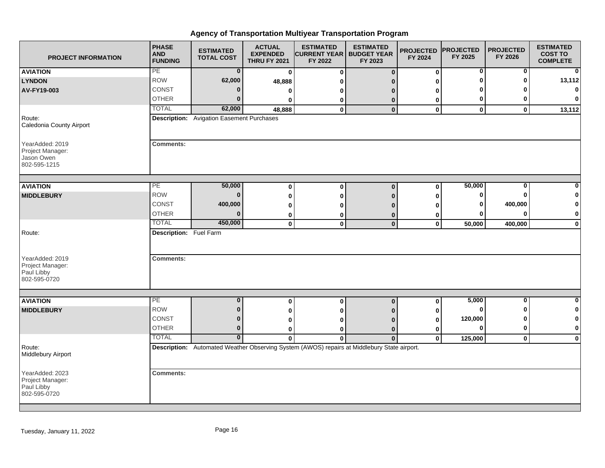| <b>PROJECT INFORMATION</b>                                        | <b>PHASE</b><br><b>AND</b><br><b>FUNDING</b> | <b>ESTIMATED</b><br><b>TOTAL COST</b>            | <b>ACTUAL</b><br><b>EXPENDED</b><br><b>THRU FY 2021</b> | <b>ESTIMATED</b><br><b>CURRENT YEAR   BUDGET YEAR</b><br>FY 2022                            | <b>ESTIMATED</b><br>FY 2023 | <b>PROJECTED</b><br>FY 2024 | <b>PROJECTED</b><br>FY 2025 | <b>PROJECTED</b><br>FY 2026 | <b>ESTIMATED</b><br><b>COST TO</b><br><b>COMPLETE</b> |
|-------------------------------------------------------------------|----------------------------------------------|--------------------------------------------------|---------------------------------------------------------|---------------------------------------------------------------------------------------------|-----------------------------|-----------------------------|-----------------------------|-----------------------------|-------------------------------------------------------|
| <b>AVIATION</b>                                                   | PE                                           | $\bf{0}$                                         | $\mathbf 0$                                             | $\bf{0}$                                                                                    | $\Omega$                    | $\mathbf 0$                 | 0                           | 0                           | 0                                                     |
| <b>LYNDON</b>                                                     | <b>ROW</b>                                   | 62,000                                           | 48,888                                                  |                                                                                             |                             |                             |                             |                             | 13,112                                                |
| AV-FY19-003                                                       | CONST                                        | $\Omega$                                         | 0                                                       | n                                                                                           | n                           | n                           |                             |                             | $\mathbf{0}$                                          |
|                                                                   | <b>OTHER</b>                                 | $\Omega$                                         | 0                                                       | 0                                                                                           | 0                           | 0                           | 0                           |                             | $\mathbf{0}$                                          |
|                                                                   | <b>TOTAL</b>                                 | 62,000                                           | 48,888                                                  | $\bf{0}$                                                                                    | $\mathbf 0$                 | $\mathbf 0$                 | $\mathbf 0$                 | $\mathbf{0}$                | 13,112                                                |
| Route:<br>Caledonia County Airport                                |                                              | <b>Description:</b> Avigation Easement Purchases |                                                         |                                                                                             |                             |                             |                             |                             |                                                       |
| YearAdded: 2019<br>Project Manager:<br>Jason Owen<br>802-595-1215 | <b>Comments:</b>                             |                                                  |                                                         |                                                                                             |                             |                             |                             |                             |                                                       |
| <b>AVIATION</b>                                                   | PE                                           | 50,000                                           | 0                                                       | $\bf{0}$                                                                                    | $\bf{0}$                    | $\mathbf 0$                 | 50,000                      | $\bf{0}$                    | $\mathbf{0}$                                          |
| <b>MIDDLEBURY</b>                                                 | <b>ROW</b>                                   | $\Omega$                                         |                                                         | ŋ                                                                                           | n                           | O                           | 0                           |                             | $\mathbf{0}$                                          |
|                                                                   | CONST                                        | 400,000                                          | 0<br>0                                                  |                                                                                             |                             |                             | 0                           | 400,000                     | $\mathbf{0}$                                          |
|                                                                   | <b>OTHER</b>                                 | $\Omega$                                         | 0                                                       | 0                                                                                           |                             | 0                           |                             | ŋ                           | $\mathbf{0}$                                          |
|                                                                   | <b>TOTAL</b>                                 | 450,000                                          | $\mathbf{0}$                                            | $\bf{0}$                                                                                    | 0<br>$\mathbf{0}$           | $\mathbf 0$                 | 50,000                      | 400,000                     | $\mathbf{0}$                                          |
| Route:<br>YearAdded: 2019<br>Project Manager:                     | Description: Fuel Farm<br><b>Comments:</b>   |                                                  |                                                         |                                                                                             |                             |                             |                             |                             |                                                       |
| Paul Libby<br>802-595-0720                                        |                                              |                                                  |                                                         |                                                                                             |                             |                             |                             |                             |                                                       |
| <b>AVIATION</b>                                                   | PE                                           | $\bf{0}$                                         | 0                                                       | $\mathbf 0$                                                                                 | $\bf{0}$                    | 0                           | 5,000                       | 0                           | $\mathbf{0}$                                          |
| <b>MIDDLEBURY</b>                                                 | <b>ROW</b>                                   | $\bf{0}$                                         | 0                                                       |                                                                                             |                             |                             | O                           |                             | $\mathbf{0}$                                          |
|                                                                   | <b>CONST</b>                                 | $\bf{0}$                                         | 0                                                       |                                                                                             |                             | 0                           | 120,000                     |                             | $\mathbf{0}$                                          |
|                                                                   | <b>OTHER</b>                                 | $\bf{0}$                                         | 0                                                       | ŋ                                                                                           | $\bf{0}$                    | 0                           | $\Omega$                    |                             | $\mathbf{0}$                                          |
|                                                                   | <b>TOTAL</b>                                 | $\bf{0}$                                         | $\bf{0}$                                                | $\bf{0}$                                                                                    | $\mathbf{0}$                | $\mathbf 0$                 | 125,000                     | $\mathbf 0$                 | $\mathbf{0}$                                          |
| Route:<br>Middlebury Airport                                      |                                              |                                                  |                                                         | Description: Automated Weather Observing System (AWOS) repairs at Middlebury State airport. |                             |                             |                             |                             |                                                       |
| YearAdded: 2023<br>Project Manager:<br>Paul Libby<br>802-595-0720 | <b>Comments:</b>                             |                                                  |                                                         |                                                                                             |                             |                             |                             |                             |                                                       |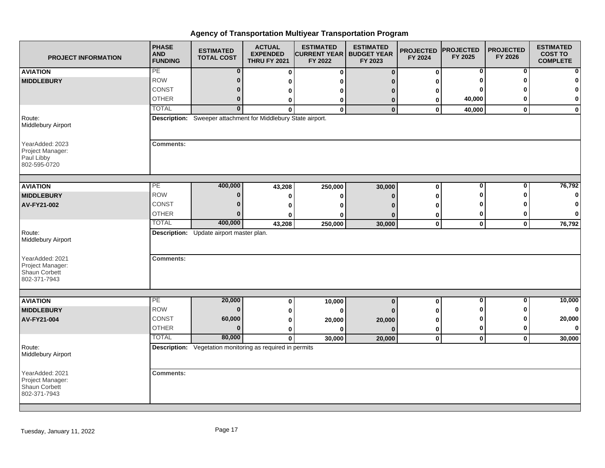| <b>PROJECT INFORMATION</b>                                           | <b>PHASE</b><br><b>AND</b><br><b>FUNDING</b> | <b>ESTIMATED</b><br><b>TOTAL COST</b>                            | <b>ACTUAL</b><br><b>EXPENDED</b><br><b>THRU FY 2021</b> | <b>ESTIMATED</b><br><b>CURRENT YEAR   BUDGET YEAR</b><br>FY 2022 | <b>ESTIMATED</b><br>FY 2023 | <b>PROJECTED</b><br>FY 2024 | <b>PROJECTED</b><br>FY 2025 | <b>PROJECTED</b><br>FY 2026 | <b>ESTIMATED</b><br><b>COST TO</b><br><b>COMPLETE</b> |
|----------------------------------------------------------------------|----------------------------------------------|------------------------------------------------------------------|---------------------------------------------------------|------------------------------------------------------------------|-----------------------------|-----------------------------|-----------------------------|-----------------------------|-------------------------------------------------------|
| <b>AVIATION</b>                                                      | PE                                           | $\bf{0}$                                                         | $\bf{0}$                                                | $\bf{0}$                                                         | $\Omega$                    | $\mathbf 0$                 | 0                           | 0                           | $\mathbf{0}$                                          |
| <b>MIDDLEBURY</b>                                                    | <b>ROW</b>                                   | $\bf{0}$                                                         | 0                                                       |                                                                  |                             |                             |                             |                             | $\mathbf{0}$                                          |
|                                                                      | CONST                                        | $\bf{0}$                                                         | 0                                                       |                                                                  |                             | 0                           |                             |                             | $\mathbf{0}$                                          |
|                                                                      | <b>OTHER</b>                                 | 0                                                                | 0                                                       | 0                                                                | 0                           | 0                           | 40,000                      |                             | $\mathbf{0}$                                          |
|                                                                      | <b>TOTAL</b>                                 | $\overline{0}$                                                   | $\Omega$                                                | $\mathbf{0}$                                                     | $\bf{0}$                    | 0                           | 40,000                      | $\bf{0}$                    | $\mathbf{0}$                                          |
| Route:<br>Middlebury Airport                                         |                                              | Description: Sweeper attachment for Middlebury State airport.    |                                                         |                                                                  |                             |                             |                             |                             |                                                       |
| YearAdded: 2023<br>Project Manager:<br>Paul Libby<br>802-595-0720    | <b>Comments:</b>                             |                                                                  |                                                         |                                                                  |                             |                             |                             |                             |                                                       |
| <b>AVIATION</b>                                                      | PE                                           | 400,000                                                          | 43,208                                                  | 250,000                                                          | 30,000                      | $\bf{0}$                    | 0                           | $\Omega$                    | 76,792                                                |
| <b>MIDDLEBURY</b>                                                    | <b>ROW</b>                                   | $\bf{0}$                                                         | 0                                                       | ŋ                                                                |                             | 0                           | ŋ                           |                             | $\mathbf{0}$                                          |
| AV-FY21-002                                                          | CONST                                        | 0                                                                | 0                                                       |                                                                  |                             |                             |                             |                             | 0                                                     |
|                                                                      | <b>OTHER</b>                                 | $\bf{0}$                                                         | O                                                       |                                                                  |                             | 0                           | 0                           |                             | $\mathbf{0}$                                          |
|                                                                      | <b>TOTAL</b>                                 | 400,000                                                          | 43,208                                                  | 250,000                                                          | 30,000                      | $\mathbf 0$                 | $\mathbf 0$                 | $\mathbf 0$                 | 76,792                                                |
| Route:<br>Middlebury Airport                                         |                                              | Description: Update airport master plan.                         |                                                         |                                                                  |                             |                             |                             |                             |                                                       |
| YearAdded: 2021<br>Project Manager:<br>Shaun Corbett<br>802-371-7943 | <b>Comments:</b>                             |                                                                  |                                                         |                                                                  |                             |                             |                             |                             |                                                       |
|                                                                      |                                              |                                                                  |                                                         |                                                                  |                             |                             |                             |                             |                                                       |
| <b>AVIATION</b>                                                      | PE                                           | 20,000                                                           | 0                                                       | 10,000                                                           | $\mathbf 0$                 | $\bf{0}$                    | 0                           | 0                           | 10,000                                                |
| <b>MIDDLEBURY</b>                                                    | <b>ROW</b>                                   | $\bf{0}$                                                         | 0                                                       |                                                                  |                             |                             |                             |                             | $\mathbf{0}$                                          |
| AV-FY21-004                                                          | CONST                                        | 60,000                                                           | 0                                                       | 20,000                                                           | 20,000                      | ŋ                           |                             |                             | 20,000                                                |
|                                                                      | <b>OTHER</b>                                 | $\Omega$                                                         | 0                                                       |                                                                  |                             | 0                           | 0                           |                             | $\mathbf{0}$                                          |
|                                                                      | <b>TOTAL</b>                                 | 80,000                                                           | $\mathbf{0}$                                            | 30,000                                                           | 20,000                      | $\mathbf 0$                 | $\mathbf 0$                 | $\mathbf 0$                 | 30,000                                                |
| Route:<br>Middlebury Airport                                         |                                              | <b>Description:</b> Vegetation monitoring as required in permits |                                                         |                                                                  |                             |                             |                             |                             |                                                       |
| YearAdded: 2021<br>Project Manager:<br>Shaun Corbett<br>802-371-7943 | <b>Comments:</b>                             |                                                                  |                                                         |                                                                  |                             |                             |                             |                             |                                                       |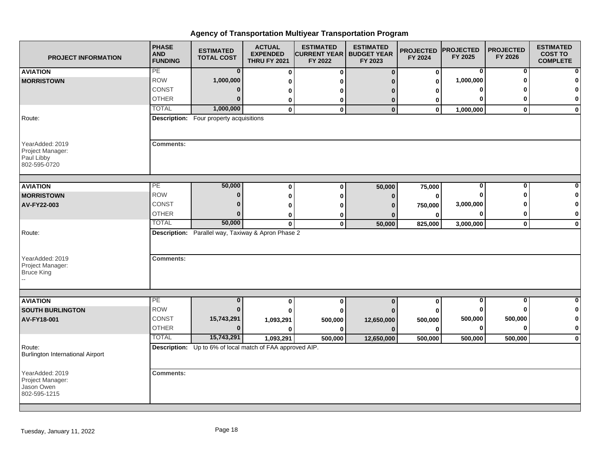| <b>PROJECT INFORMATION</b>                                        | <b>PHASE</b><br><b>AND</b><br><b>FUNDING</b> | <b>ESTIMATED</b><br><b>TOTAL COST</b>                     | <b>ACTUAL</b><br><b>EXPENDED</b><br><b>THRU FY 2021</b> | <b>ESTIMATED</b><br><b>CURRENT YEAR   BUDGET YEAR</b><br>FY 2022 | <b>ESTIMATED</b><br>FY 2023 | <b>PROJECTED</b><br>FY 2024 | <b>PROJECTED</b><br>FY 2025 | <b>PROJECTED</b><br>FY 2026 | <b>ESTIMATED</b><br><b>COST TO</b><br><b>COMPLETE</b> |
|-------------------------------------------------------------------|----------------------------------------------|-----------------------------------------------------------|---------------------------------------------------------|------------------------------------------------------------------|-----------------------------|-----------------------------|-----------------------------|-----------------------------|-------------------------------------------------------|
| <b>AVIATION</b>                                                   | PE                                           | $\bf{0}$                                                  | $\bf{0}$                                                | 0                                                                | $\Omega$                    | 0                           | 0                           | 0                           | $\mathbf{0}$                                          |
| <b>MORRISTOWN</b>                                                 | <b>ROW</b>                                   | 1,000,000                                                 | 0                                                       |                                                                  |                             | $\mathbf 0$                 | 1,000,000                   |                             | 0                                                     |
|                                                                   | CONST                                        | 0                                                         | 0                                                       |                                                                  |                             | o                           |                             |                             | $\mathbf{0}$                                          |
|                                                                   | <b>OTHER</b>                                 | $\bf{0}$                                                  | 0                                                       | 0                                                                | 0                           | 0                           |                             |                             | $\mathbf{0}$                                          |
|                                                                   | <b>TOTAL</b>                                 | 1,000,000                                                 | $\mathbf 0$                                             | $\bf{0}$                                                         | $\bf{0}$                    | $\mathbf 0$                 | 1,000,000                   | $\mathbf{0}$                | $\mathbf{0}$                                          |
| Route:                                                            |                                              | <b>Description:</b> Four property acquisitions            |                                                         |                                                                  |                             |                             |                             |                             |                                                       |
| YearAdded: 2019<br>Project Manager:<br>Paul Libby<br>802-595-0720 | <b>Comments:</b>                             |                                                           |                                                         |                                                                  |                             |                             |                             |                             |                                                       |
| <b>AVIATION</b>                                                   | PE                                           | 50,000                                                    | $\mathbf 0$                                             | 0                                                                | 50,000                      | 75,000                      | 0                           | $\Omega$                    | 0                                                     |
| <b>MORRISTOWN</b>                                                 | <b>ROW</b>                                   | $\bf{0}$                                                  | $\bf{0}$                                                | ŋ                                                                | n                           | 0                           |                             |                             | $\mathbf 0$                                           |
| AV-FY22-003                                                       | CONST                                        | 0                                                         | 0                                                       |                                                                  |                             | 750,000                     | 3,000,000                   |                             | $\mathbf{0}$                                          |
|                                                                   | <b>OTHER</b>                                 | $\bf{0}$                                                  | 0                                                       |                                                                  |                             | 0                           |                             |                             | $\mathbf{0}$                                          |
|                                                                   | <b>TOTAL</b>                                 | 50,000                                                    | $\mathbf 0$                                             | $\mathbf{0}$                                                     | 50,000                      | 825,000                     | 3,000,000                   | $\mathbf 0$                 | $\mathbf{0}$                                          |
| Route:                                                            |                                              | Description: Parallel way, Taxiway & Apron Phase 2        |                                                         |                                                                  |                             |                             |                             |                             |                                                       |
| YearAdded: 2019<br>Project Manager:<br><b>Bruce King</b>          | <b>Comments:</b>                             |                                                           |                                                         |                                                                  |                             |                             |                             |                             |                                                       |
| <b>AVIATION</b>                                                   | PE                                           | $\bf{0}$                                                  | 0                                                       | 0                                                                | $\mathbf 0$                 | $\mathbf 0$                 | 0                           | 0                           | $\mathbf{0}$                                          |
| <b>SOUTH BURLINGTON</b>                                           | <b>ROW</b>                                   | $\bf{0}$                                                  |                                                         |                                                                  |                             |                             |                             |                             | $\mathbf{0}$                                          |
| AV-FY18-001                                                       | <b>CONST</b>                                 | 15,743,291                                                | 1,093,291                                               | 500,000                                                          | 12,650,000                  | 500,000                     | 500,000                     | 500,000                     | $\mathbf{0}$                                          |
|                                                                   | <b>OTHER</b>                                 | $\Omega$                                                  |                                                         |                                                                  |                             | O                           | $\mathbf 0$                 |                             | $\mathbf{0}$                                          |
|                                                                   | <b>TOTAL</b>                                 | 15,743,291                                                | 1,093,291                                               | 500,000                                                          | 12,650,000                  | 500,000                     | 500,000                     | 500,000                     | $\mathbf{0}$                                          |
| Route:<br><b>Burlington International Airport</b>                 |                                              | Description: Up to 6% of local match of FAA approved AIP. |                                                         |                                                                  |                             |                             |                             |                             |                                                       |
| YearAdded: 2019<br>Project Manager:<br>Jason Owen<br>802-595-1215 | <b>Comments:</b>                             |                                                           |                                                         |                                                                  |                             |                             |                             |                             |                                                       |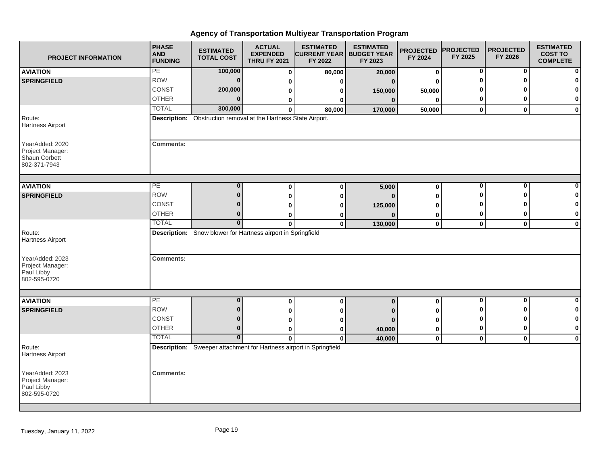| <b>PROJECT INFORMATION</b>                                           | <b>PHASE</b><br><b>AND</b><br><b>FUNDING</b> | <b>ESTIMATED</b><br><b>TOTAL COST</b>                               | <b>ACTUAL</b><br><b>EXPENDED</b><br><b>THRU FY 2021</b> | <b>ESTIMATED</b><br><b>CURRENT YEAR   BUDGET YEAR</b><br>FY 2022 | <b>ESTIMATED</b><br>FY 2023 | <b>PROJECTED</b><br>FY 2024 | <b>PROJECTED</b><br>FY 2025 | <b>PROJECTED</b><br>FY 2026 | <b>ESTIMATED</b><br><b>COST TO</b><br><b>COMPLETE</b> |
|----------------------------------------------------------------------|----------------------------------------------|---------------------------------------------------------------------|---------------------------------------------------------|------------------------------------------------------------------|-----------------------------|-----------------------------|-----------------------------|-----------------------------|-------------------------------------------------------|
| <b>AVIATION</b>                                                      | PE                                           | 100,000                                                             | $\bf{0}$                                                | 80,000                                                           | 20,000                      | $\bf{0}$                    | 0                           | 0                           | 0                                                     |
| <b>SPRINGFIELD</b>                                                   | <b>ROW</b>                                   | $\bf{0}$                                                            | 0                                                       | U                                                                | $\Omega$                    | 0                           | O                           | $\Omega$                    | $\Omega$                                              |
|                                                                      | CONST                                        | 200,000                                                             | 0                                                       | 0                                                                | 150,000                     | 50,000                      |                             |                             | O                                                     |
|                                                                      | <b>OTHER</b>                                 | $\bf{0}$                                                            | 0                                                       | 0                                                                | $\mathbf{0}$                | $\bf{0}$                    | 0                           | 0                           | 0                                                     |
|                                                                      | <b>TOTAL</b>                                 | 300,000                                                             | $\bf{0}$                                                | 80,000                                                           | 170,000                     | 50,000                      | $\mathbf 0$                 | $\mathbf{0}$                | $\mathbf 0$                                           |
| Route:<br><b>Hartness Airport</b>                                    |                                              | Description: Obstruction removal at the Hartness State Airport.     |                                                         |                                                                  |                             |                             |                             |                             |                                                       |
| YearAdded: 2020<br>Project Manager:<br>Shaun Corbett<br>802-371-7943 | <b>Comments:</b>                             |                                                                     |                                                         |                                                                  |                             |                             |                             |                             |                                                       |
| <b>AVIATION</b>                                                      | PE                                           | $\bf{0}$                                                            | 0                                                       | $\bf{0}$                                                         | 5,000                       | $\bf{0}$                    | $\bf{0}$                    | $\bf{0}$                    |                                                       |
| <b>SPRINGFIELD</b>                                                   | <b>ROW</b>                                   | $\bf{0}$                                                            | 0                                                       |                                                                  | n                           | 0                           | ŋ                           | ŋ                           | O                                                     |
|                                                                      | CONST                                        | 0                                                                   | 0                                                       | 0<br>0                                                           | 125,000                     | U                           | o                           |                             | 0                                                     |
|                                                                      | <b>OTHER</b>                                 | 0                                                                   | 0                                                       | 0                                                                |                             | 0                           | 0                           | 0                           | 0                                                     |
|                                                                      | <b>TOTAL</b>                                 | $\bf{0}$                                                            | $\mathbf{0}$                                            | $\mathbf{0}$                                                     | 130,000                     | $\mathbf 0$                 | $\mathbf{0}$                | $\mathbf 0$                 | $\mathbf 0$                                           |
| Route:<br><b>Hartness Airport</b>                                    |                                              | Description: Snow blower for Hartness airport in Springfield        |                                                         |                                                                  |                             |                             |                             |                             |                                                       |
| YearAdded: 2023<br>Project Manager:<br>Paul Libby<br>802-595-0720    | <b>Comments:</b>                             |                                                                     |                                                         |                                                                  |                             |                             |                             |                             |                                                       |
|                                                                      |                                              |                                                                     |                                                         |                                                                  |                             |                             |                             |                             |                                                       |
| <b>AVIATION</b>                                                      | PE                                           | $\bf{0}$                                                            | $\bf{0}$                                                | $\bf{0}$                                                         | $\bf{0}$                    | $\pmb{0}$                   | $\mathbf 0$                 | $\mathbf 0$                 | $\bf{0}$                                              |
| <b>SPRINGFIELD</b>                                                   | <b>ROW</b>                                   | $\bf{0}$                                                            | 0                                                       | 0                                                                |                             | 0                           | O                           | 0                           | 0                                                     |
|                                                                      | CONST                                        | $\bf{0}$                                                            | 0                                                       | 0                                                                |                             | 0                           | ŋ                           | ŋ                           | 0                                                     |
|                                                                      | <b>OTHER</b>                                 | $\bf{0}$                                                            | 0                                                       | 0                                                                | 40,000                      | 0                           | 0                           | 0                           | 0                                                     |
|                                                                      | <b>TOTAL</b>                                 | $\overline{0}$                                                      | $\mathbf{0}$                                            | $\mathbf{0}$                                                     | 40,000                      | $\mathbf 0$                 | $\mathbf{0}$                | $\mathbf 0$                 | $\mathbf 0$                                           |
| Route:<br><b>Hartness Airport</b>                                    |                                              | Description: Sweeper attachment for Hartness airport in Springfield |                                                         |                                                                  |                             |                             |                             |                             |                                                       |
| YearAdded: 2023<br>Project Manager:<br>Paul Libby<br>802-595-0720    | <b>Comments:</b>                             |                                                                     |                                                         |                                                                  |                             |                             |                             |                             |                                                       |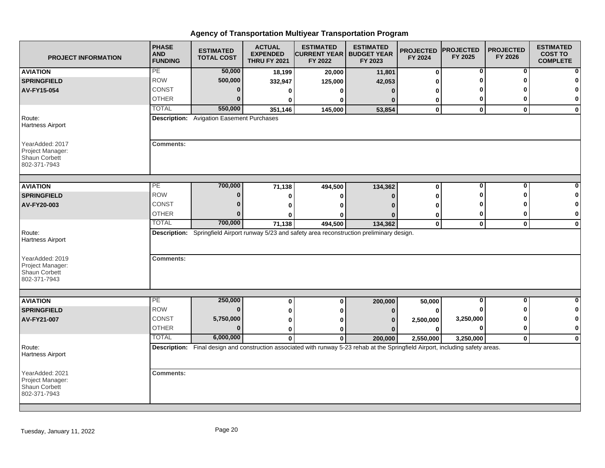| <b>PROJECT INFORMATION</b>                                                  | <b>PHASE</b><br><b>AND</b><br><b>FUNDING</b> | <b>ESTIMATED</b><br><b>TOTAL COST</b>            | <b>ACTUAL</b><br><b>EXPENDED</b><br><b>THRU FY 2021</b> | <b>ESTIMATED</b><br><b>CURRENT YEAR   BUDGET YEAR</b><br>FY 2022                                                                 | <b>ESTIMATED</b><br>FY 2023 | <b>PROJECTED</b><br>FY 2024 | <b>PROJECTED</b><br>FY 2025 | <b>PROJECTED</b><br>FY 2026 | <b>ESTIMATED</b><br><b>COST TO</b><br><b>COMPLETE</b> |
|-----------------------------------------------------------------------------|----------------------------------------------|--------------------------------------------------|---------------------------------------------------------|----------------------------------------------------------------------------------------------------------------------------------|-----------------------------|-----------------------------|-----------------------------|-----------------------------|-------------------------------------------------------|
| <b>AVIATION</b>                                                             | PE                                           | 50,000                                           | 18,199                                                  | 20,000                                                                                                                           | 11,801                      | 0                           | 0                           | 0                           |                                                       |
| <b>SPRINGFIELD</b>                                                          | <b>ROW</b>                                   | 500,000                                          | 332,947                                                 | 125,000                                                                                                                          | 42,053                      | U                           |                             | ŋ                           |                                                       |
| AV-FY15-054                                                                 | <b>CONST</b>                                 | $\bf{0}$                                         | 0                                                       | O                                                                                                                                | $\Omega$                    | ŋ                           |                             |                             |                                                       |
|                                                                             | <b>OTHER</b>                                 | $\Omega$                                         | 0                                                       | ŋ                                                                                                                                |                             | 0                           | 0                           | ŋ                           | 0                                                     |
|                                                                             | <b>TOTAL</b>                                 | 550,000                                          | 351,146                                                 | 145,000                                                                                                                          | 53,854                      | $\mathbf{0}$                | $\mathbf{0}$                | $\mathbf{0}$                | $\mathbf{0}$                                          |
| Route:<br><b>Hartness Airport</b>                                           |                                              | <b>Description:</b> Avigation Easement Purchases |                                                         |                                                                                                                                  |                             |                             |                             |                             |                                                       |
| YearAdded: 2017<br>Project Manager:<br><b>Shaun Corbett</b><br>802-371-7943 | <b>Comments:</b>                             |                                                  |                                                         |                                                                                                                                  |                             |                             |                             |                             |                                                       |
| <b>AVIATION</b>                                                             | PE                                           | 700,000                                          |                                                         | 494,500                                                                                                                          | 134,362                     | 0                           | $\mathbf 0$                 | 0                           |                                                       |
| <b>SPRINGFIELD</b>                                                          | <b>ROW</b>                                   | $\bf{0}$                                         | 71,138                                                  |                                                                                                                                  |                             | 0                           | ŋ                           | ŋ                           |                                                       |
| AV-FY20-003                                                                 | <b>CONST</b>                                 | $\Omega$                                         | 0<br>0                                                  | 0<br>O                                                                                                                           | n                           | O                           |                             |                             | 0                                                     |
|                                                                             | <b>OTHER</b>                                 | $\Omega$                                         |                                                         |                                                                                                                                  |                             | 0                           | 0                           | 0                           | 0                                                     |
|                                                                             | <b>TOTAL</b>                                 | 700,000                                          | 71,138                                                  | ŋ<br>494,500                                                                                                                     | 134,362                     | $\mathbf 0$                 | $\mathbf{0}$                | $\mathbf 0$                 | $\bf{0}$                                              |
| Route:<br><b>Hartness Airport</b>                                           |                                              |                                                  |                                                         | Description: Springfield Airport runway 5/23 and safety area reconstruction preliminary design.                                  |                             |                             |                             |                             |                                                       |
| YearAdded: 2019<br>Project Manager:<br>Shaun Corbett<br>802-371-7943        | <b>Comments:</b>                             |                                                  |                                                         |                                                                                                                                  |                             |                             |                             |                             |                                                       |
| <b>AVIATION</b>                                                             | $\overline{PE}$                              | 250,000                                          | $\bf{0}$                                                | 0                                                                                                                                | 200,000                     | 50,000                      | 0                           | 0                           |                                                       |
| <b>SPRINGFIELD</b>                                                          | <b>ROW</b>                                   | $\bf{0}$                                         | 0                                                       | 0                                                                                                                                | 0                           | $\bf{0}$                    |                             |                             | 0                                                     |
| AV-FY21-007                                                                 | CONST                                        | 5,750,000                                        | 0                                                       |                                                                                                                                  |                             | 2,500,000                   | 3,250,000                   | ŋ                           | 0                                                     |
|                                                                             | <b>OTHER</b>                                 | $\Omega$                                         | 0                                                       | O                                                                                                                                |                             | 0                           | 0                           | 0                           | 0                                                     |
|                                                                             | <b>TOTAL</b>                                 | 6,000,000                                        | $\mathbf{0}$                                            | $\mathbf{0}$                                                                                                                     | 200,000                     | 2,550,000                   | 3,250,000                   | $\mathbf{0}$                | $\mathbf 0$                                           |
| Route:<br><b>Hartness Airport</b>                                           |                                              |                                                  |                                                         | Description: Final design and construction associated with runway 5-23 rehab at the Springfield Airport, including safety areas. |                             |                             |                             |                             |                                                       |
| YearAdded: 2021<br>Project Manager:<br>Shaun Corbett<br>802-371-7943        | <b>Comments:</b>                             |                                                  |                                                         |                                                                                                                                  |                             |                             |                             |                             |                                                       |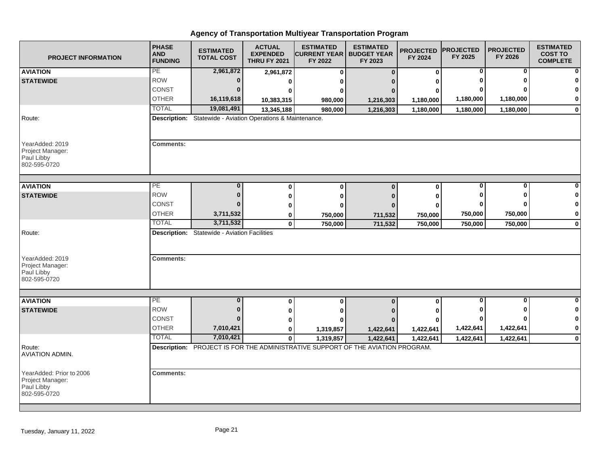| <b>PROJECT INFORMATION</b>                                                  | <b>PHASE</b><br><b>AND</b><br><b>FUNDING</b> | <b>ESTIMATED</b><br><b>TOTAL COST</b>                       | <b>ACTUAL</b><br><b>EXPENDED</b><br><b>THRU FY 2021</b> | <b>ESTIMATED</b><br><b>CURRENT YEAR   BUDGET YEAR</b><br>FY 2022                | <b>ESTIMATED</b><br>FY 2023 | <b>PROJECTED</b><br>FY 2024 | <b>PROJECTED</b><br>FY 2025 | <b>PROJECTED</b><br>FY 2026 | <b>ESTIMATED</b><br><b>COST TO</b><br><b>COMPLETE</b> |
|-----------------------------------------------------------------------------|----------------------------------------------|-------------------------------------------------------------|---------------------------------------------------------|---------------------------------------------------------------------------------|-----------------------------|-----------------------------|-----------------------------|-----------------------------|-------------------------------------------------------|
| <b>AVIATION</b>                                                             | PE                                           | 2,961,872                                                   | 2,961,872                                               | $\bf{0}$                                                                        | $\Omega$                    | $\mathbf 0$                 | 0                           | 0                           | $\mathbf{0}$                                          |
| <b>STATEWIDE</b>                                                            | <b>ROW</b>                                   | $\bf{0}$                                                    | 0                                                       | 0                                                                               |                             | O                           |                             |                             | $\mathbf{0}$                                          |
|                                                                             | <b>CONST</b>                                 | $\Omega$                                                    |                                                         | O                                                                               |                             | O                           |                             |                             | $\mathbf{0}$                                          |
|                                                                             | <b>OTHER</b>                                 | 16,119,618                                                  | 10,383,315                                              | 980,000                                                                         | 1,216,303                   | 1,180,000                   | 1,180,000                   | 1,180,000                   | $\mathbf{0}$                                          |
|                                                                             | <b>TOTAL</b>                                 | 19,081,491                                                  | 13,345,188                                              | 980,000                                                                         | 1,216,303                   | 1,180,000                   | 1,180,000                   | 1,180,000                   | $\mathbf{0}$                                          |
| Route:                                                                      |                                              | Description: Statewide - Aviation Operations & Maintenance. |                                                         |                                                                                 |                             |                             |                             |                             |                                                       |
| YearAdded: 2019<br>Project Manager:<br>Paul Libby<br>802-595-0720           | <b>Comments:</b>                             |                                                             |                                                         |                                                                                 |                             |                             |                             |                             |                                                       |
| <b>AVIATION</b>                                                             | PE                                           |                                                             | $\bf{0}$                                                | $\bf{0}$                                                                        | $\Omega$                    | $\mathbf{0}$                | 0                           |                             |                                                       |
| <b>STATEWIDE</b>                                                            | <b>ROW</b>                                   | $\Omega$                                                    | $\bf{0}$                                                | 0                                                                               | n                           | 0                           |                             |                             | $\bf{0}$                                              |
|                                                                             | CONST                                        |                                                             | 0                                                       |                                                                                 |                             | 0                           |                             |                             | $\mathbf{0}$                                          |
|                                                                             | <b>OTHER</b>                                 | 3,711,532                                                   | 0                                                       | 750,000                                                                         | 711,532                     | 750,000                     | 750,000                     | 750,000                     | $\mathbf{0}$                                          |
|                                                                             | <b>TOTAL</b>                                 | 3,711,532                                                   | $\mathbf 0$                                             | 750,000                                                                         | 711,532                     | 750,000                     | 750,000                     | 750,000                     | $\mathbf{0}$                                          |
| Route:<br>YearAdded: 2019<br>Project Manager:<br>Paul Libby<br>802-595-0720 | <b>Comments:</b>                             | <b>Description:</b> Statewide - Aviation Facilities         |                                                         |                                                                                 |                             |                             |                             |                             |                                                       |
|                                                                             |                                              |                                                             |                                                         |                                                                                 |                             |                             |                             |                             |                                                       |
| <b>AVIATION</b>                                                             | PE                                           | $\bf{0}$                                                    | $\bf{0}$                                                | $\bf{0}$                                                                        | $\Omega$                    | $\mathbf 0$                 | 0                           | $\bf{0}$                    | $\mathbf{0}$                                          |
| <b>STATEWIDE</b>                                                            | <b>ROW</b>                                   | n                                                           | 0                                                       | 0                                                                               |                             |                             |                             |                             | $\mathbf{0}$                                          |
|                                                                             | <b>CONST</b>                                 | n                                                           | 0                                                       |                                                                                 |                             |                             |                             |                             | $\mathbf{0}$                                          |
|                                                                             | <b>OTHER</b>                                 | 7,010,421                                                   | 0                                                       | 1,319,857                                                                       | 1,422,641                   | 1,422,641                   | 1,422,641                   | 1,422,641                   | $\mathbf{0}$                                          |
|                                                                             | <b>TOTAL</b>                                 | 7,010,421                                                   | $\mathbf{0}$                                            | 1,319,857                                                                       | 1,422,641                   | 1,422,641                   | 1,422,641                   | 1,422,641                   | $\mathbf{0}$                                          |
| Route:<br><b>AVIATION ADMIN.</b>                                            |                                              |                                                             |                                                         | Description: PROJECT IS FOR THE ADMINISTRATIVE SUPPORT OF THE AVIATION PROGRAM. |                             |                             |                             |                             |                                                       |
| YearAdded: Prior to 2006<br>Project Manager:<br>Paul Libby<br>802-595-0720  | <b>Comments:</b>                             |                                                             |                                                         |                                                                                 |                             |                             |                             |                             |                                                       |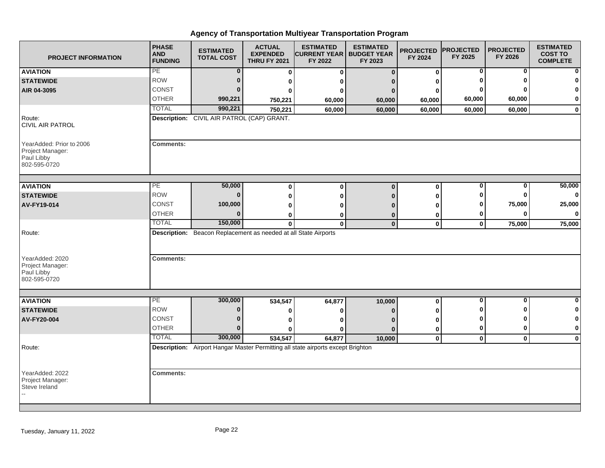| <b>PROJECT INFORMATION</b>                                                 | <b>PHASE</b><br><b>AND</b><br><b>FUNDING</b>                                        | <b>ESTIMATED</b><br><b>TOTAL COST</b> | <b>ACTUAL</b><br><b>EXPENDED</b><br><b>THRU FY 2021</b> | <b>ESTIMATED</b><br><b>CURRENT YEAR  </b><br>FY 2022 | <b>ESTIMATED</b><br><b>BUDGET YEAR</b><br>FY 2023 | <b>PROJECTED</b><br>FY 2024 | <b>PROJECTED</b><br>FY 2025 | <b>PROJECTED</b><br>FY 2026 | <b>ESTIMATED</b><br><b>COST TO</b><br><b>COMPLETE</b> |
|----------------------------------------------------------------------------|-------------------------------------------------------------------------------------|---------------------------------------|---------------------------------------------------------|------------------------------------------------------|---------------------------------------------------|-----------------------------|-----------------------------|-----------------------------|-------------------------------------------------------|
| <b>AVIATION</b>                                                            | PE                                                                                  | 0                                     | 0                                                       | 0                                                    | $\Omega$                                          | 0                           | 0                           | 0                           |                                                       |
| <b>STATEWIDE</b>                                                           | <b>ROW</b>                                                                          | 0                                     | 0                                                       |                                                      |                                                   | ŋ                           |                             | ŋ                           |                                                       |
| AIR 04-3095                                                                | <b>CONST</b>                                                                        | n                                     | Λ                                                       |                                                      |                                                   | 0                           |                             |                             |                                                       |
|                                                                            | <b>OTHER</b>                                                                        | 990,221                               | 750,221                                                 | 60,000                                               | 60,000                                            | 60,000                      | 60,000                      | 60,000                      | $\mathbf 0$                                           |
|                                                                            | <b>TOTAL</b>                                                                        | 990,221                               | 750,221                                                 | 60,000                                               | 60,000                                            | 60,000                      | 60,000                      | 60,000                      | $\mathbf 0$                                           |
| Route:<br>CIVIL AIR PATROL                                                 | <b>Description:</b> CIVIL AIR PATROL (CAP) GRANT.                                   |                                       |                                                         |                                                      |                                                   |                             |                             |                             |                                                       |
| YearAdded: Prior to 2006<br>Project Manager:<br>Paul Libby<br>802-595-0720 | <b>Comments:</b>                                                                    |                                       |                                                         |                                                      |                                                   |                             |                             |                             |                                                       |
| <b>AVIATION</b>                                                            | PE                                                                                  | 50,000                                | 0                                                       | $\bf{0}$                                             | $\mathbf{0}$                                      | $\mathbf 0$                 | 0                           | 0                           | 50,000                                                |
| <b>STATEWIDE</b>                                                           | <b>ROW</b>                                                                          | $\bf{0}$                              | 0                                                       |                                                      |                                                   | ŋ                           | 0                           | ŋ                           | $\Omega$                                              |
| AV-FY19-014                                                                | CONST                                                                               | 100,000                               | 0                                                       |                                                      |                                                   |                             | 0                           | 75,000                      | 25,000                                                |
|                                                                            | <b>OTHER</b>                                                                        | $\bf{0}$                              | 0                                                       |                                                      |                                                   | 0                           | 0                           | 0                           | $\Omega$                                              |
|                                                                            | <b>TOTAL</b>                                                                        | 150,000                               | $\bf{0}$                                                | $\bf{0}$                                             | $\mathbf{0}$                                      | $\mathbf 0$                 | $\mathbf 0$                 | 75,000                      | 75,000                                                |
| Route:<br>YearAdded: 2020                                                  | Description: Beacon Replacement as needed at all State Airports<br><b>Comments:</b> |                                       |                                                         |                                                      |                                                   |                             |                             |                             |                                                       |
| Project Manager:<br>Paul Libby<br>802-595-0720                             |                                                                                     |                                       |                                                         |                                                      |                                                   |                             |                             |                             |                                                       |
| <b>AVIATION</b>                                                            | PE                                                                                  | 300,000                               | 534,547                                                 | 64,877                                               | 10,000                                            | $\pmb{0}$                   | $\bf{0}$                    | $\bf{0}$                    | $\Omega$                                              |
| <b>STATEWIDE</b>                                                           | <b>ROW</b>                                                                          | $\bf{0}$                              | 0                                                       |                                                      |                                                   |                             |                             | ŋ                           | -0                                                    |
| AV-FY20-004                                                                | <b>CONST</b>                                                                        | $\bf{0}$                              | 0                                                       |                                                      |                                                   | 0                           | o                           | ŋ                           |                                                       |
|                                                                            | <b>OTHER</b>                                                                        | $\Omega$                              | 0                                                       |                                                      |                                                   | 0                           | 0                           | 0                           | $\bf{0}$                                              |
|                                                                            | <b>TOTAL</b>                                                                        | 300,000                               | 534,547                                                 | 64,877                                               | 10,000                                            | $\mathbf 0$                 | $\mathbf 0$                 | $\mathbf{0}$                | $\mathbf 0$                                           |
| Route:                                                                     | Description: Airport Hangar Master Permitting all state airports except Brighton    |                                       |                                                         |                                                      |                                                   |                             |                             |                             |                                                       |
| YearAdded: 2022<br>Project Manager:<br>Steve Ireland                       | <b>Comments:</b>                                                                    |                                       |                                                         |                                                      |                                                   |                             |                             |                             |                                                       |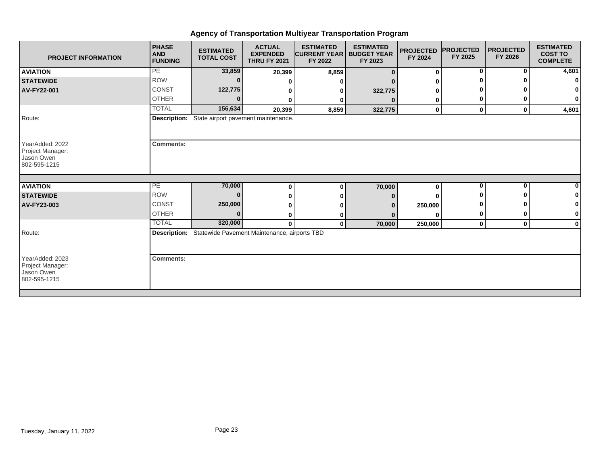| <b>PROJECT INFORMATION</b>                                        | <b>PHASE</b><br><b>AND</b><br><b>FUNDING</b>              | <b>ESTIMATED</b><br><b>TOTAL COST</b> | <b>ACTUAL</b><br><b>EXPENDED</b><br><b>THRU FY 2021</b> | <b>ESTIMATED</b><br><b>CURRENT YEAR   BUDGET YEAR</b><br>FY 2022 | <b>ESTIMATED</b><br>FY 2023 | <b>PROJECTED</b><br>FY 2024 | <b>IPROJECTED</b><br>FY 2025 | <b>PROJECTED</b><br>FY 2026 | <b>ESTIMATED</b><br><b>COST TO</b><br><b>COMPLETE</b> |
|-------------------------------------------------------------------|-----------------------------------------------------------|---------------------------------------|---------------------------------------------------------|------------------------------------------------------------------|-----------------------------|-----------------------------|------------------------------|-----------------------------|-------------------------------------------------------|
| <b>AVIATION</b>                                                   | <b>PE</b>                                                 | 33,859                                | 20,399                                                  | 8,859                                                            |                             | $\bf{0}$                    | $\overline{0}$               | 0                           | 4,601                                                 |
| <b>STATEWIDE</b>                                                  | <b>ROW</b>                                                |                                       |                                                         |                                                                  |                             |                             |                              |                             |                                                       |
| <b>AV-FY22-001</b>                                                | <b>CONST</b>                                              | 122,775                               |                                                         |                                                                  | 322,775                     |                             |                              |                             |                                                       |
|                                                                   | <b>OTHER</b>                                              |                                       | 0                                                       |                                                                  |                             | 0                           |                              |                             | 0                                                     |
|                                                                   | <b>TOTAL</b>                                              | 156,634                               | 20,399                                                  | 8,859                                                            | 322,775                     | $\mathbf 0$                 | $\mathbf 0$                  | $\mathbf 0$                 | 4,601                                                 |
| Route:                                                            | Description: State airport pavement maintenance.          |                                       |                                                         |                                                                  |                             |                             |                              |                             |                                                       |
| YearAdded: 2022<br>Project Manager:<br>Jason Owen<br>802-595-1215 | <b>Comments:</b>                                          |                                       |                                                         |                                                                  |                             |                             |                              |                             |                                                       |
| <b>AVIATION</b>                                                   | PE                                                        | 70,000                                | 0                                                       |                                                                  | 70,000                      | $\bf{0}$                    | 0                            | $\bf{0}$                    |                                                       |
| <b>STATEWIDE</b>                                                  | <b>ROW</b>                                                |                                       |                                                         |                                                                  |                             |                             |                              |                             |                                                       |
| AV-FY23-003                                                       | CONST                                                     | 250,000                               |                                                         |                                                                  |                             | 250,000                     |                              |                             |                                                       |
|                                                                   | <b>OTHER</b>                                              | $\bf{0}$                              | 0                                                       |                                                                  |                             | ŋ                           | 0                            | 0                           | 0                                                     |
|                                                                   | <b>TOTAL</b>                                              | 320,000                               | $\mathbf{0}$                                            | 0                                                                | 70,000                      | 250,000                     | $\mathbf 0$                  | 0                           | $\bf{0}$                                              |
| Route:                                                            | Description: Statewide Pavement Maintenance, airports TBD |                                       |                                                         |                                                                  |                             |                             |                              |                             |                                                       |
| YearAdded: 2023<br>Project Manager:<br>Jason Owen<br>802-595-1215 | <b>Comments:</b>                                          |                                       |                                                         |                                                                  |                             |                             |                              |                             |                                                       |
|                                                                   |                                                           |                                       |                                                         |                                                                  |                             |                             |                              |                             |                                                       |